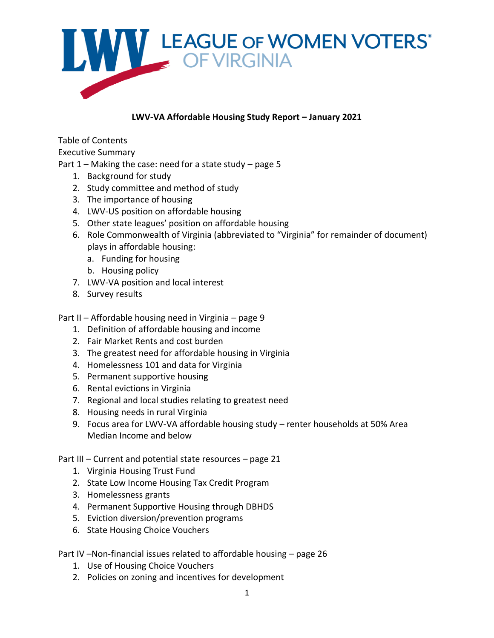

#### **LWV-VA Affordable Housing Study Report – January 2021**

Table of Contents

Executive Summary

- Part  $1$  Making the case: need for a state study page 5
	- 1. Background for study
	- 2. Study committee and method of study
	- 3. The importance of housing
	- 4. LWV-US position on affordable housing
	- 5. Other state leagues' position on affordable housing
	- 6. Role Commonwealth of Virginia (abbreviated to "Virginia" for remainder of document) plays in affordable housing:
		- a. Funding for housing
		- b. Housing policy
	- 7. LWV-VA position and local interest
	- 8. Survey results

Part II – Affordable housing need in Virginia – page 9

- 1. Definition of affordable housing and income
- 2. Fair Market Rents and cost burden
- 3. The greatest need for affordable housing in Virginia
- 4. Homelessness 101 and data for Virginia
- 5. Permanent supportive housing
- 6. Rental evictions in Virginia
- 7. Regional and local studies relating to greatest need
- 8. Housing needs in rural Virginia
- 9. Focus area for LWV-VA affordable housing study renter households at 50% Area Median Income and below

Part III – Current and potential state resources – page 21

- 1. Virginia Housing Trust Fund
- 2. State Low Income Housing Tax Credit Program
- 3. Homelessness grants
- 4. Permanent Supportive Housing through DBHDS
- 5. Eviction diversion/prevention programs
- 6. State Housing Choice Vouchers

Part IV –Non-financial issues related to affordable housing – page 26

- 1. Use of Housing Choice Vouchers
- 2. Policies on zoning and incentives for development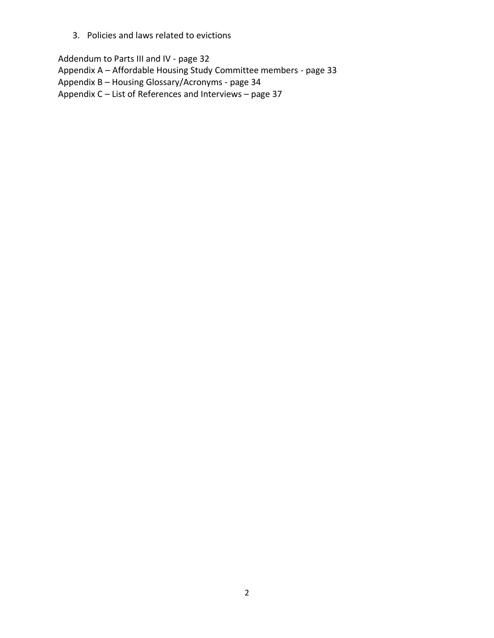3. Policies and laws related to evictions

Addendum to Parts III and IV - page 32 Appendix A – Affordable Housing Study Committee members - page 33 Appendix B – Housing Glossary/Acronyms - page 34 Appendix C – List of References and Interviews – page 37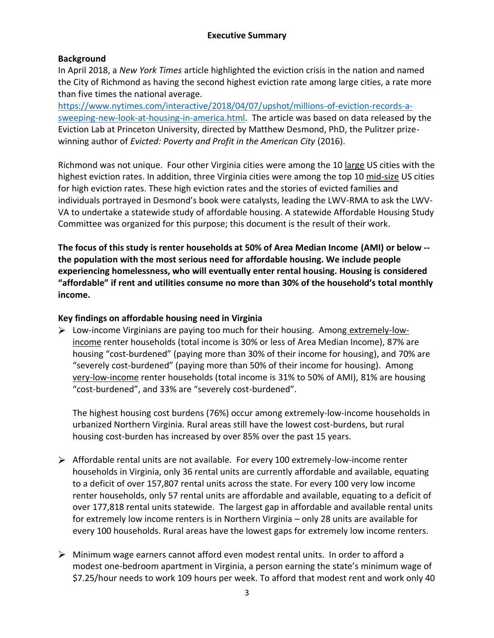#### **Executive Summary**

#### **Background**

In April 2018, a *New York Times* article highlighted the eviction crisis in the nation and named the City of Richmond as having the second highest eviction rate among large cities, a rate more than five times the national average.

[https://www.nytimes.com/interactive/2018/04/07/upshot/millions-of-eviction-records-a](https://www.nytimes.com/interactive/2018/04/07/upshot/millions-of-eviction-records-a-sweeping-new-look-at-housing-in-america.html)[sweeping-new-look-at-housing-in-america.html.](https://www.nytimes.com/interactive/2018/04/07/upshot/millions-of-eviction-records-a-sweeping-new-look-at-housing-in-america.html) The article was based on data released by the Eviction Lab at Princeton University, directed by Matthew Desmond, PhD, the Pulitzer prizewinning author of *Evicted: Poverty and Profit in the American City* (2016).

Richmond was not unique. Four other Virginia cities were among the 10 large US cities with the highest eviction rates. In addition, three Virginia cities were among the top 10 mid-size US cities for high eviction rates. These high eviction rates and the stories of evicted families and individuals portrayed in Desmond's book were catalysts, leading the LWV-RMA to ask the LWV-VA to undertake a statewide study of affordable housing. A statewide Affordable Housing Study Committee was organized for this purpose; this document is the result of their work.

**The focus of this study is renter households at 50% of Area Median Income (AMI) or below - the population with the most serious need for affordable housing. We include people experiencing homelessness, who will eventually enter rental housing. Housing is considered "affordable" if rent and utilities consume no more than 30% of the household's total monthly income.**

#### **Key findings on affordable housing need in Virginia**

 $\triangleright$  Low-income Virginians are paying too much for their housing. Among extremely-lowincome renter households (total income is 30% or less of Area Median Income), 87% are housing "cost-burdened" (paying more than 30% of their income for housing), and 70% are "severely cost-burdened" (paying more than 50% of their income for housing). Among very-low-income renter households (total income is 31% to 50% of AMI), 81% are housing "cost-burdened", and 33% are "severely cost-burdened".

The highest housing cost burdens (76%) occur among extremely-low-income households in urbanized Northern Virginia*.* Rural areas still have the lowest cost-burdens, but rural housing cost-burden has increased by over 85% over the past 15 years.

- Affordable rental units are not available. For every 100 extremely-low-income renter households in Virginia, only 36 rental units are currently affordable and available, equating to a deficit of over 157,807 rental units across the state. For every 100 very low income renter households, only 57 rental units are affordable and available, equating to a deficit of over 177,818 rental units statewide. The largest gap in affordable and available rental units for extremely low income renters is in Northern Virginia – only 28 units are available for every 100 households. Rural areas have the lowest gaps for extremely low income renters.
- $\triangleright$  Minimum wage earners cannot afford even modest rental units. In order to afford a modest one-bedroom apartment in Virginia, a person earning the state's minimum wage of \$7.25/hour needs to work 109 hours per week. To afford that modest rent and work only 40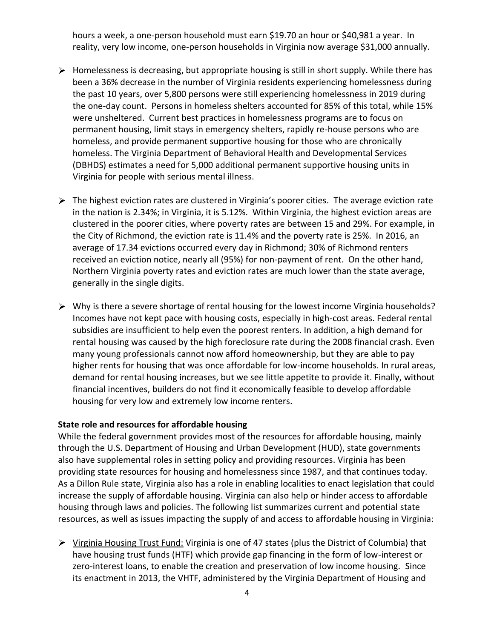hours a week, a one-person household must earn \$19.70 an hour or \$40,981 a year. In reality, very low income, one-person households in Virginia now average \$31,000 annually.

- $\triangleright$  Homelessness is decreasing, but appropriate housing is still in short supply. While there has been a 36% decrease in the number of Virginia residents experiencing homelessness during the past 10 years, over 5,800 persons were still experiencing homelessness in 2019 during the one-day count. Persons in homeless shelters accounted for 85% of this total, while 15% were unsheltered. Current best practices in homelessness programs are to focus on permanent housing, limit stays in emergency shelters, rapidly re-house persons who are homeless, and provide permanent supportive housing for those who are chronically homeless. The Virginia Department of Behavioral Health and Developmental Services (DBHDS) estimates a need for 5,000 additional permanent supportive housing units in Virginia for people with serious mental illness.
- The highest eviction rates are clustered in Virginia's poorer cities*.* The average eviction rate in the nation is 2.34%; in Virginia, it is 5.12%. Within Virginia, the highest eviction areas are clustered in the poorer cities, where poverty rates are between 15 and 29%. For example, in the City of Richmond, the eviction rate is 11.4% and the poverty rate is 25%. In 2016, an average of 17.34 evictions occurred every day in Richmond; 30% of Richmond renters received an eviction notice, nearly all (95%) for non-payment of rent. On the other hand, Northern Virginia poverty rates and eviction rates are much lower than the state average, generally in the single digits.
- $\triangleright$  Why is there a severe shortage of rental housing for the lowest income Virginia households? Incomes have not kept pace with housing costs, especially in high-cost areas. Federal rental subsidies are insufficient to help even the poorest renters. In addition, a high demand for rental housing was caused by the high foreclosure rate during the 2008 financial crash. Even many young professionals cannot now afford homeownership, but they are able to pay higher rents for housing that was once affordable for low-income households. In rural areas, demand for rental housing increases, but we see little appetite to provide it. Finally, without financial incentives, builders do not find it economically feasible to develop affordable housing for very low and extremely low income renters.

#### **State role and resources for affordable housing**

While the federal government provides most of the resources for affordable housing, mainly through the U.S. Department of Housing and Urban Development (HUD), state governments also have supplemental roles in setting policy and providing resources. Virginia has been providing state resources for housing and homelessness since 1987, and that continues today. As a Dillon Rule state, Virginia also has a role in enabling localities to enact legislation that could increase the supply of affordable housing. Virginia can also help or hinder access to affordable housing through laws and policies. The following list summarizes current and potential state resources, as well as issues impacting the supply of and access to affordable housing in Virginia:

Virginia Housing Trust Fund: Virginia is one of 47 states (plus the District of Columbia) that have housing trust funds (HTF) which provide gap financing in the form of low-interest or zero-interest loans, to enable the creation and preservation of low income housing. Since its enactment in 2013, the VHTF, administered by the Virginia Department of Housing and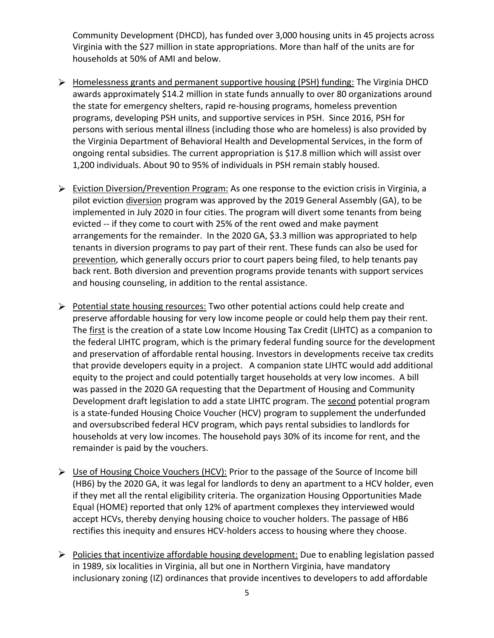Community Development (DHCD), has funded over 3,000 housing units in 45 projects across Virginia with the \$27 million in state appropriations. More than half of the units are for households at 50% of AMI and below.

- Homelessness grants and permanent supportive housing (PSH) funding: The Virginia DHCD awards approximately \$14.2 million in state funds annually to over 80 organizations around the state for emergency shelters, rapid re-housing programs, homeless prevention programs, developing PSH units, and supportive services in PSH. Since 2016, PSH for persons with serious mental illness (including those who are homeless) is also provided by the Virginia Department of Behavioral Health and Developmental Services, in the form of ongoing rental subsidies. The current appropriation is \$17.8 million which will assist over 1,200 individuals. About 90 to 95% of individuals in PSH remain stably housed.
- Eviction Diversion/Prevention Program: As one response to the eviction crisis in Virginia, a pilot eviction diversion program was approved by the 2019 General Assembly (GA), to be implemented in July 2020 in four cities. The program will divert some tenants from being evicted -- if they come to court with 25% of the rent owed and make payment arrangements for the remainder. In the 2020 GA, \$3.3 million was appropriated to help tenants in diversion programs to pay part of their rent. These funds can also be used for prevention, which generally occurs prior to court papers being filed, to help tenants pay back rent. Both diversion and prevention programs provide tenants with support services and housing counseling, in addition to the rental assistance.
- $\triangleright$  Potential state housing resources: Two other potential actions could help create and preserve affordable housing for very low income people or could help them pay their rent. The first is the creation of a state Low Income Housing Tax Credit (LIHTC) as a companion to the federal LIHTC program, which is the primary federal funding source for the development and preservation of affordable rental housing. Investors in developments receive tax credits that provide developers equity in a project. A companion state LIHTC would add additional equity to the project and could potentially target households at very low incomes. A bill was passed in the 2020 GA requesting that the Department of Housing and Community Development draft legislation to add a state LIHTC program. The second potential program is a state-funded Housing Choice Voucher (HCV) program to supplement the underfunded and oversubscribed federal HCV program, which pays rental subsidies to landlords for households at very low incomes. The household pays 30% of its income for rent, and the remainder is paid by the vouchers.
- Use of Housing Choice Vouchers (HCV): Prior to the passage of the Source of Income bill (HB6) by the 2020 GA, it was legal for landlords to deny an apartment to a HCV holder, even if they met all the rental eligibility criteria. The organization Housing Opportunities Made Equal (HOME) reported that only 12% of apartment complexes they interviewed would accept HCVs, thereby denying housing choice to voucher holders. The passage of HB6 rectifies this inequity and ensures HCV-holders access to housing where they choose.
- $\triangleright$  Policies that incentivize affordable housing development: Due to enabling legislation passed in 1989, six localities in Virginia, all but one in Northern Virginia, have mandatory inclusionary zoning (IZ) ordinances that provide incentives to developers to add affordable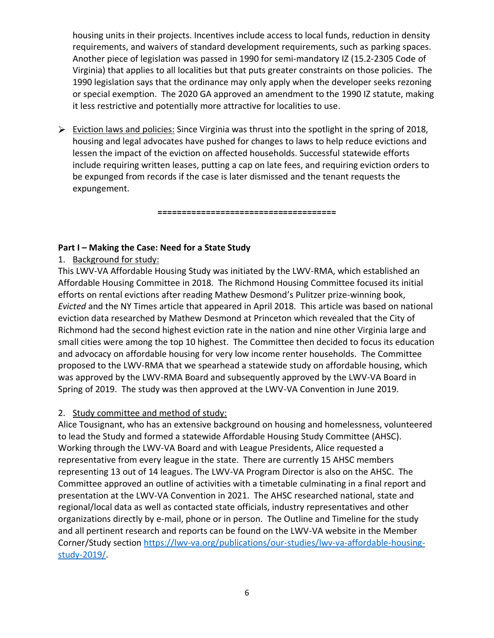housing units in their projects. Incentives include access to local funds, reduction in density requirements, and waivers of standard development requirements, such as parking spaces. Another piece of legislation was passed in 1990 for semi-mandatory IZ (15.2-2305 Code of Virginia) that applies to all localities but that puts greater constraints on those policies. The 1990 legislation says that the ordinance may only apply when the developer seeks rezoning or special exemption. The 2020 GA approved an amendment to the 1990 IZ statute, making it less restrictive and potentially more attractive for localities to use.

 $\triangleright$  Eviction laws and policies: Since Virginia was thrust into the spotlight in the spring of 2018, housing and legal advocates have pushed for changes to laws to help reduce evictions and lessen the impact of the eviction on affected households. Successful statewide efforts include requiring written leases, putting a cap on late fees, and requiring eviction orders to be expunged from records if the case is later dismissed and the tenant requests the expungement.

**=====================================**

#### **Part I – Making the Case: Need for a State Study**

#### 1. Background for study:

This LWV-VA Affordable Housing Study was initiated by the LWV-RMA, which established an Affordable Housing Committee in 2018. The Richmond Housing Committee focused its initial efforts on rental evictions after reading Mathew Desmond's Pulitzer prize-winning book, *Evicted* and the NY Times article that appeared in April 2018. This article was based on national eviction data researched by Mathew Desmond at Princeton which revealed that the City of Richmond had the second highest eviction rate in the nation and nine other Virginia large and small cities were among the top 10 highest. The Committee then decided to focus its education and advocacy on affordable housing for very low income renter households. The Committee proposed to the LWV-RMA that we spearhead a statewide study on affordable housing, which was approved by the LWV-RMA Board and subsequently approved by the LWV-VA Board in Spring of 2019. The study was then approved at the LWV-VA Convention in June 2019.

#### 2. Study committee and method of study:

Alice Tousignant, who has an extensive background on housing and homelessness, volunteered to lead the Study and formed a statewide Affordable Housing Study Committee (AHSC). Working through the LWV-VA Board and with League Presidents, Alice requested a representative from every league in the state. There are currently 15 AHSC members representing 13 out of 14 leagues. The LWV-VA Program Director is also on the AHSC. The Committee approved an outline of activities with a timetable culminating in a final report and presentation at the LWV-VA Convention in 2021. The AHSC researched national, state and regional/local data as well as contacted state officials, industry representatives and other organizations directly by e-mail, phone or in person. The Outline and Timeline for the study and all pertinent research and reports can be found on the LWV-VA website in the Member Corner/Study section [https://lwv-va.org/publications/our-studies/lwv-va-affordable-housing](https://lwv-va.org/publications/our-studies/lwv-va-affordable-housing-study-2019/)[study-2019/.](https://lwv-va.org/publications/our-studies/lwv-va-affordable-housing-study-2019/)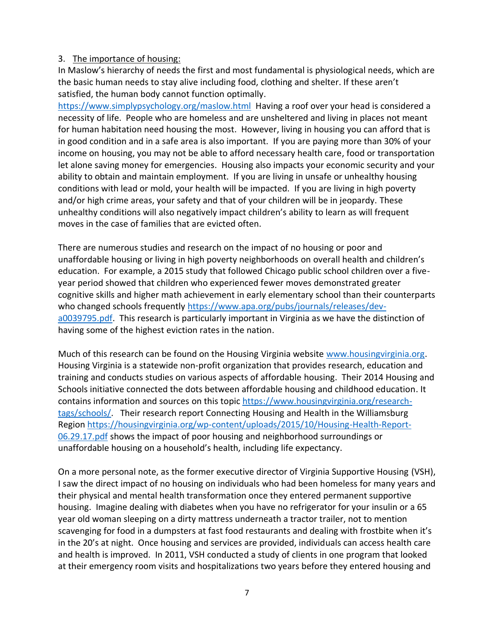#### 3. The importance of housing:

In Maslow's hierarchy of needs the first and most fundamental is physiological needs, which are the basic human needs to stay alive including food, clothing and shelter. If these aren't satisfied, the human body cannot function optimally.

<https://www.simplypsychology.org/maslow.html>Having a roof over your head is considered a necessity of life. People who are homeless and are unsheltered and living in places not meant for human habitation need housing the most. However, living in housing you can afford that is in good condition and in a safe area is also important. If you are paying more than 30% of your income on housing, you may not be able to afford necessary health care, food or transportation let alone saving money for emergencies. Housing also impacts your economic security and your ability to obtain and maintain employment. If you are living in unsafe or unhealthy housing conditions with lead or mold, your health will be impacted. If you are living in high poverty and/or high crime areas, your safety and that of your children will be in jeopardy. These unhealthy conditions will also negatively impact children's ability to learn as will frequent moves in the case of families that are evicted often.

There are numerous studies and research on the impact of no housing or poor and unaffordable housing or living in high poverty neighborhoods on overall health and children's education. For example, a 2015 study that followed Chicago public school children over a fiveyear period showed that children who experienced fewer moves demonstrated greater cognitive skills and higher math achievement in early elementary school than their counterparts who changed schools frequently [https://www.apa.org/pubs/journals/releases/dev](https://www.apa.org/pubs/journals/releases/dev-a0039795.pdf)[a0039795.pdf.](https://www.apa.org/pubs/journals/releases/dev-a0039795.pdf) This research is particularly important in Virginia as we have the distinction of having some of the highest eviction rates in the nation.

Much of this research can be found on the Housing Virginia website [www.housingvirginia.org.](http://www.housingvirginia.org/) Housing Virginia is a statewide non-profit organization that provides research, education and training and conducts studies on various aspects of affordable housing. Their 2014 Housing and Schools initiative connected the dots between affordable housing and childhood education. It contains information and sources on this topic [https://www.housingvirginia.org/research](https://www.housingvirginia.org/research-tags/schools/)[tags/schools/.](https://www.housingvirginia.org/research-tags/schools/) Their research report Connecting Housing and Health in the Williamsburg Region [https://housingvirginia.org/wp-content/uploads/2015/10/Housing-Health-Report-](https://housingvirginia.org/wp-content/uploads/2015/10/Housing-Health-Report-06.29.17.pdf)[06.29.17.pdf](https://housingvirginia.org/wp-content/uploads/2015/10/Housing-Health-Report-06.29.17.pdf) shows the impact of poor housing and neighborhood surroundings or unaffordable housing on a household's health, including life expectancy.

On a more personal note, as the former executive director of Virginia Supportive Housing (VSH), I saw the direct impact of no housing on individuals who had been homeless for many years and their physical and mental health transformation once they entered permanent supportive housing. Imagine dealing with diabetes when you have no refrigerator for your insulin or a 65 year old woman sleeping on a dirty mattress underneath a tractor trailer, not to mention scavenging for food in a dumpsters at fast food restaurants and dealing with frostbite when it's in the 20's at night. Once housing and services are provided, individuals can access health care and health is improved. In 2011, VSH conducted a study of clients in one program that looked at their emergency room visits and hospitalizations two years before they entered housing and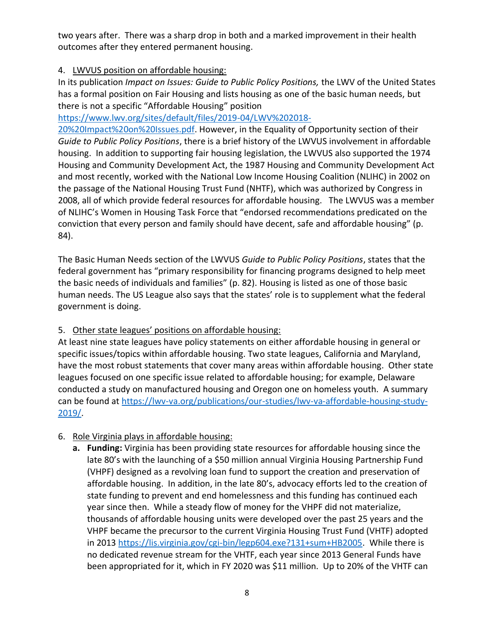two years after. There was a sharp drop in both and a marked improvement in their health outcomes after they entered permanent housing.

#### 4. LWVUS position on affordable housing:

In its publication *Impact on Issues: Guide to Public Policy Positions,* the LWV of the United States has a formal position on Fair Housing and lists housing as one of the basic human needs, but there is not a specific "Affordable Housing" position

#### [https://www.lwv.org/sites/default/files/2019-04/LWV%202018-](https://www.lwv.org/sites/default/files/2019-04/LWV%202018-20%20Impact%20on%20Issues.pdf)

[20%20Impact%20on%20Issues.pdf.](https://www.lwv.org/sites/default/files/2019-04/LWV%202018-20%20Impact%20on%20Issues.pdf) However, in the Equality of Opportunity section of their *Guide to Public Policy Positions*, there is a brief history of the LWVUS involvement in affordable housing. In addition to supporting fair housing legislation, the LWVUS also supported the 1974 Housing and Community Development Act, the 1987 Housing and Community Development Act and most recently, worked with the National Low Income Housing Coalition (NLIHC) in 2002 on the passage of the National Housing Trust Fund (NHTF), which was authorized by Congress in 2008, all of which provide federal resources for affordable housing. The LWVUS was a member of NLIHC's Women in Housing Task Force that "endorsed recommendations predicated on the conviction that every person and family should have decent, safe and affordable housing" (p. 84).

The Basic Human Needs section of the LWVUS *Guide to Public Policy Positions*, states that the federal government has "primary responsibility for financing programs designed to help meet the basic needs of individuals and families" (p. 82). Housing is listed as one of those basic human needs. The US League also says that the states' role is to supplement what the federal government is doing.

#### 5. Other state leagues' positions on affordable housing:

At least nine state leagues have policy statements on either affordable housing in general or specific issues/topics within affordable housing. Two state leagues, California and Maryland, have the most robust statements that cover many areas within affordable housing. Other state leagues focused on one specific issue related to affordable housing; for example, Delaware conducted a study on manufactured housing and Oregon one on homeless youth. A summary can be found at [https://lwv-va.org/publications/our-studies/lwv-va-affordable-housing-study-](https://lwv-va.org/publications/our-studies/lwv-va-affordable-housing-study-2019/)[2019/.](https://lwv-va.org/publications/our-studies/lwv-va-affordable-housing-study-2019/)

#### 6. Role Virginia plays in affordable housing:

**a. Funding:** Virginia has been providing state resources for affordable housing since the late 80's with the launching of a \$50 million annual Virginia Housing Partnership Fund (VHPF) designed as a revolving loan fund to support the creation and preservation of affordable housing. In addition, in the late 80's, advocacy efforts led to the creation of state funding to prevent and end homelessness and this funding has continued each year since then. While a steady flow of money for the VHPF did not materialize, thousands of affordable housing units were developed over the past 25 years and the VHPF became the precursor to the current Virginia Housing Trust Fund (VHTF) adopted in 2013 [https://lis.virginia.gov/cgi-bin/legp604.exe?131+sum+HB2005.](https://lis.virginia.gov/cgi-bin/legp604.exe?131+sum+HB2005) While there is no dedicated revenue stream for the VHTF, each year since 2013 General Funds have been appropriated for it, which in FY 2020 was \$11 million. Up to 20% of the VHTF can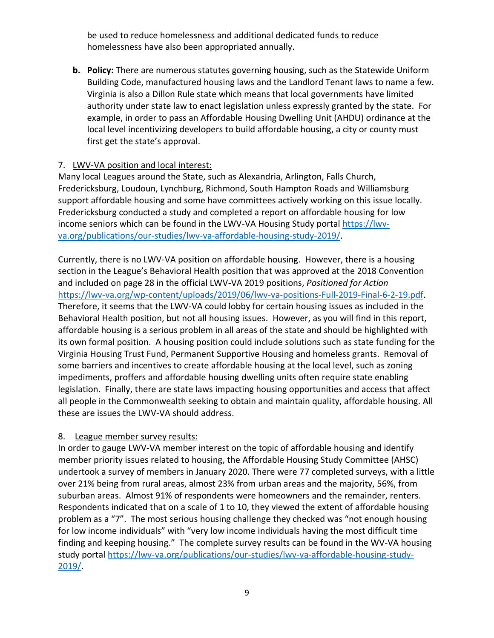be used to reduce homelessness and additional dedicated funds to reduce homelessness have also been appropriated annually.

**b. Policy:** There are numerous statutes governing housing, such as the Statewide Uniform Building Code, manufactured housing laws and the Landlord Tenant laws to name a few. Virginia is also a Dillon Rule state which means that local governments have limited authority under state law to enact legislation unless expressly granted by the state. For example, in order to pass an Affordable Housing Dwelling Unit (AHDU) ordinance at the local level incentivizing developers to build affordable housing, a city or county must first get the state's approval.

#### 7. LWV-VA position and local interest:

Many local Leagues around the State, such as Alexandria, Arlington, Falls Church, Fredericksburg, Loudoun, Lynchburg, Richmond, South Hampton Roads and Williamsburg support affordable housing and some have committees actively working on this issue locally. Fredericksburg conducted a study and completed a report on affordable housing for low income seniors which can be found in the LWV-VA Housing Study portal [https://lwv](https://lwv-va.org/publications/our-studies/lwv-va-affordable-housing-study-2019/)[va.org/publications/our-studies/lwv-va-affordable-housing-study-2019/.](https://lwv-va.org/publications/our-studies/lwv-va-affordable-housing-study-2019/)

Currently, there is no LWV-VA position on affordable housing. However, there is a housing section in the League's Behavioral Health position that was approved at the 2018 Convention and included on page 28 in the official LWV-VA 2019 positions, *Positioned for Action* [https://lwv-va.org/wp-content/uploads/2019/06/lwv-va-positions-Full-2019-Final-6-2-19.pdf.](https://lwv-va.org/wp-content/uploads/2019/06/lwv-va-positions-Full-2019-Final-6-2-19.pdf) Therefore, it seems that the LWV-VA could lobby for certain housing issues as included in the Behavioral Health position, but not all housing issues. However, as you will find in this report, affordable housing is a serious problem in all areas of the state and should be highlighted with its own formal position. A housing position could include solutions such as state funding for the Virginia Housing Trust Fund, Permanent Supportive Housing and homeless grants. Removal of some barriers and incentives to create affordable housing at the local level, such as zoning impediments, proffers and affordable housing dwelling units often require state enabling legislation. Finally, there are state laws impacting housing opportunities and access that affect all people in the Commonwealth seeking to obtain and maintain quality, affordable housing. All these are issues the LWV-VA should address.

#### 8. League member survey results:

In order to gauge LWV-VA member interest on the topic of affordable housing and identify member priority issues related to housing, the Affordable Housing Study Committee (AHSC) undertook a survey of members in January 2020. There were 77 completed surveys, with a little over 21% being from rural areas, almost 23% from urban areas and the majority, 56%, from suburban areas. Almost 91% of respondents were homeowners and the remainder, renters. Respondents indicated that on a scale of 1 to 10, they viewed the extent of affordable housing problem as a "7". The most serious housing challenge they checked was "not enough housing for low income individuals" with "very low income individuals having the most difficult time finding and keeping housing." The complete survey results can be found in the WV-VA housing study portal [https://lwv-va.org/publications/our-studies/lwv-va-affordable-housing-study-](https://lwv-va.org/publications/our-studies/lwv-va-affordable-housing-study-2019/)[2019/.](https://lwv-va.org/publications/our-studies/lwv-va-affordable-housing-study-2019/)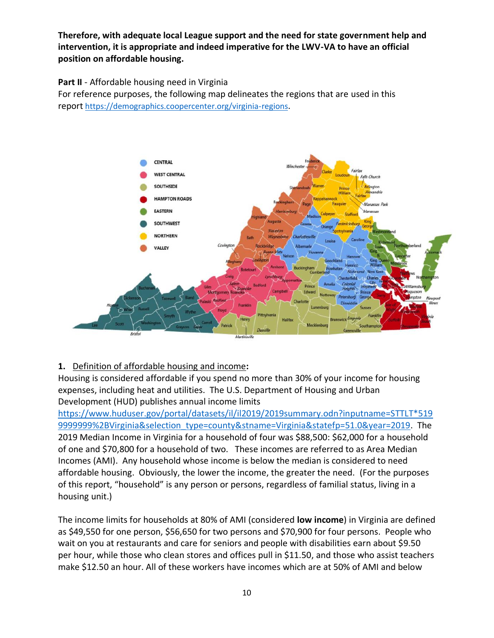**Therefore, with adequate local League support and the need for state government help and intervention, it is appropriate and indeed imperative for the LWV-VA to have an official position on affordable housing.**

#### **Part II** - Affordable housing need in Virginia

For reference purposes, the following map delineates the regions that are used in this report <https://demographics.coopercenter.org/virginia-regions>.



#### **1.** Definition of affordable housing and income**:**

Housing is considered affordable if you spend no more than 30% of your income for housing expenses, including heat and utilities. The U.S. Department of Housing and Urban Development (HUD) publishes annual income limits

[https://www.huduser.gov/portal/datasets/il/il2019/2019summary.odn?inputname=STTLT\\*519](https://www.huduser.gov/portal/datasets/il/il2019/2019summary.odn?inputname=STTLT*5199999999%2BVirginia&selection_type=county&stname=Virginia&statefp=51.0&year=2019) [9999999%2BVirginia&selection\\_type=county&stname=Virginia&statefp=51.0&year=2019.](https://www.huduser.gov/portal/datasets/il/il2019/2019summary.odn?inputname=STTLT*5199999999%2BVirginia&selection_type=county&stname=Virginia&statefp=51.0&year=2019) The 2019 Median Income in Virginia for a household of four was \$88,500: \$62,000 for a household of one and \$70,800 for a household of two. These incomes are referred to as Area Median Incomes (AMI). Any household whose income is below the median is considered to need affordable housing. Obviously, the lower the income, the greater the need. (For the purposes of this report, "household" is any person or persons, regardless of familial status, living in a housing unit.)

The income limits for households at 80% of AMI (considered **low income**) in Virginia are defined as \$49,550 for one person, \$56,650 for two persons and \$70,900 for four persons. People who wait on you at restaurants and care for seniors and people with disabilities earn about \$9.50 per hour, while those who clean stores and offices pull in \$11.50, and those who assist teachers make \$12.50 an hour. All of these workers have incomes which are at 50% of AMI and below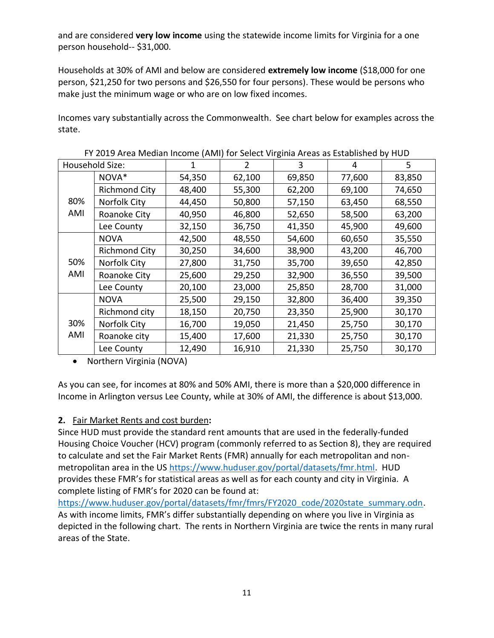and are considered **very low income** using the statewide income limits for Virginia for a one person household-- \$31,000.

Households at 30% of AMI and below are considered **extremely low income** (\$18,000 for one person, \$21,250 for two persons and \$26,550 for four persons). These would be persons who make just the minimum wage or who are on low fixed incomes.

Incomes vary substantially across the Commonwealth. See chart below for examples across the state.

|            | . . 2019 Anda Middian Moonig (Amil) for Sciede Virginia Andas as Established by Hob |        |        |        |        |        |
|------------|-------------------------------------------------------------------------------------|--------|--------|--------|--------|--------|
|            | Household Size:                                                                     | 1      | 2      | 3      | 4      | 5      |
|            | NOVA*                                                                               | 54,350 | 62,100 | 69,850 | 77,600 | 83,850 |
|            | <b>Richmond City</b>                                                                | 48,400 | 55,300 | 62,200 | 69,100 | 74,650 |
| 80%        | <b>Norfolk City</b>                                                                 | 44,450 | 50,800 | 57,150 | 63,450 | 68,550 |
| AMI        | Roanoke City                                                                        | 40,950 | 46,800 | 52,650 | 58,500 | 63,200 |
|            | Lee County                                                                          | 32,150 | 36,750 | 41,350 | 45,900 | 49,600 |
|            | <b>NOVA</b>                                                                         | 42,500 | 48,550 | 54,600 | 60,650 | 35,550 |
| 50%<br>AMI | <b>Richmond City</b>                                                                | 30,250 | 34,600 | 38,900 | 43,200 | 46,700 |
|            | Norfolk City                                                                        | 27,800 | 31,750 | 35,700 | 39,650 | 42,850 |
|            | Roanoke City                                                                        | 25,600 | 29,250 | 32,900 | 36,550 | 39,500 |
|            | Lee County                                                                          | 20,100 | 23,000 | 25,850 | 28,700 | 31,000 |
|            | <b>NOVA</b>                                                                         | 25,500 | 29,150 | 32,800 | 36,400 | 39,350 |
|            | Richmond city                                                                       | 18,150 | 20,750 | 23,350 | 25,900 | 30,170 |
| 30%        | Norfolk City                                                                        | 16,700 | 19,050 | 21,450 | 25,750 | 30,170 |
| AMI        | Roanoke city                                                                        | 15,400 | 17,600 | 21,330 | 25,750 | 30,170 |
|            | Lee County                                                                          | 12,490 | 16,910 | 21,330 | 25,750 | 30,170 |

FY 2019 Area Median Income (AMI) for Select Virginia Areas as Established by HUD

• Northern Virginia (NOVA)

As you can see, for incomes at 80% and 50% AMI, there is more than a \$20,000 difference in Income in Arlington versus Lee County, while at 30% of AMI, the difference is about \$13,000.

#### **2.** Fair Market Rents and cost burden**:**

Since HUD must provide the standard rent amounts that are used in the federally-funded Housing Choice Voucher (HCV) program (commonly referred to as Section 8), they are required to calculate and set the Fair Market Rents (FMR) annually for each metropolitan and nonmetropolitan area in the US [https://www.huduser.gov/portal/datasets/fmr.html.](https://www.huduser.gov/portal/datasets/fmr.html) HUD provides these FMR's for statistical areas as well as for each county and city in Virginia. A complete listing of FMR's for 2020 can be found at:

[https://www.huduser.gov/portal/datasets/fmr/fmrs/FY2020\\_code/2020state\\_summary.odn.](https://www.huduser.gov/portal/datasets/fmr/fmrs/FY2020_code/2020state_summary.odn) As with income limits, FMR's differ substantially depending on where you live in Virginia as depicted in the following chart. The rents in Northern Virginia are twice the rents in many rural areas of the State.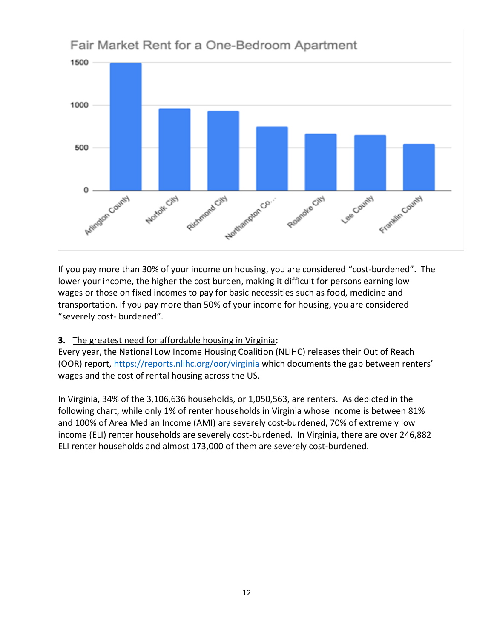

Fair Market Rent for a One-Bedroom Apartment

If you pay more than 30% of your income on housing, you are considered "cost-burdened". The lower your income, the higher the cost burden, making it difficult for persons earning low wages or those on fixed incomes to pay for basic necessities such as food, medicine and transportation. If you pay more than 50% of your income for housing, you are considered "severely cost- burdened".

#### **3.** The greatest need for affordable housing in Virginia**:**

Every year, the National Low Income Housing Coalition (NLIHC) releases their Out of Reach (OOR) report,<https://reports.nlihc.org/oor/virginia> which documents the gap between renters' wages and the cost of rental housing across the US.

In Virginia, 34% of the 3,106,636 households, or 1,050,563, are renters. As depicted in the following chart, while only 1% of renter households in Virginia whose income is between 81% and 100% of Area Median Income (AMI) are severely cost-burdened, 70% of extremely low income (ELI) renter households are severely cost-burdened. In Virginia, there are over 246,882 ELI renter households and almost 173,000 of them are severely cost-burdened.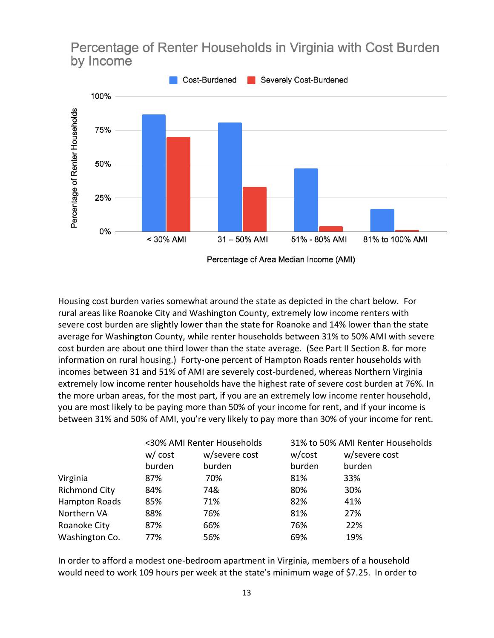## Percentage of Renter Households in Virginia with Cost Burden by Income



Housing cost burden varies somewhat around the state as depicted in the chart below. For rural areas like Roanoke City and Washington County, extremely low income renters with severe cost burden are slightly lower than the state for Roanoke and 14% lower than the state average for Washington County, while renter households between 31% to 50% AMI with severe cost burden are about one third lower than the state average. (See Part II Section 8. for more information on rural housing.) Forty-one percent of Hampton Roads renter households with incomes between 31 and 51% of AMI are severely cost-burdened, whereas Northern Virginia extremely low income renter households have the highest rate of severe cost burden at 76%. In the more urban areas, for the most part, if you are an extremely low income renter household, you are most likely to be paying more than 50% of your income for rent, and if your income is between 31% and 50% of AMI, you're very likely to pay more than 30% of your income for rent.

|                      |         | <30% AMI Renter Households |        | 31% to 50% AMI Renter Households |
|----------------------|---------|----------------------------|--------|----------------------------------|
|                      | w/ cost | w/severe cost              | w/cost | w/severe cost                    |
|                      | burden  | burden                     | burden | burden                           |
| Virginia             | 87%     | 70%                        | 81%    | 33%                              |
| <b>Richmond City</b> | 84%     | 74&                        | 80%    | 30%                              |
| Hampton Roads        | 85%     | 71%                        | 82%    | 41%                              |
| Northern VA          | 88%     | 76%                        | 81%    | 27%                              |
| Roanoke City         | 87%     | 66%                        | 76%    | 22%                              |
| Washington Co.       | 77%     | 56%                        | 69%    | 19%                              |

In order to afford a modest one-bedroom apartment in Virginia, members of a household would need to work 109 hours per week at the state's minimum wage of \$7.25. In order to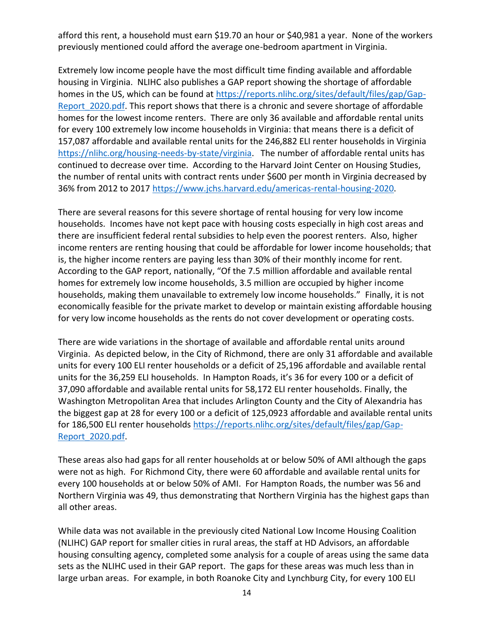afford this rent, a household must earn \$19.70 an hour or \$40,981 a year. None of the workers previously mentioned could afford the average one-bedroom apartment in Virginia.

Extremely low income people have the most difficult time finding available and affordable housing in Virginia. NLIHC also publishes a GAP report showing the shortage of affordable homes in the US, which can be found at [https://reports.nlihc.org/sites/default/files/gap/Gap-](https://reports.nlihc.org/sites/default/files/gap/Gap-Report_2020.pdf)[Report\\_2020.pdf.](https://reports.nlihc.org/sites/default/files/gap/Gap-Report_2020.pdf) This report shows that there is a chronic and severe shortage of affordable homes for the lowest income renters. There are only 36 available and affordable rental units for every 100 extremely low income households in Virginia: that means there is a deficit of 157,087 affordable and available rental units for the 246,882 ELI renter households in Virginia [https://nlihc.org/housing-needs-by-state/virginia.](https://nlihc.org/housing-needs-by-state/virginia) The number of affordable rental units has continued to decrease over time. According to the Harvard Joint Center on Housing Studies, the number of rental units with contract rents under \$600 per month in Virginia decreased by 36% from 2012 to 2017 [https://www.jchs.harvard.edu/americas-rental-housing-2020.](https://www.jchs.harvard.edu/americas-rental-housing-2020)

There are several reasons for this severe shortage of rental housing for very low income households. Incomes have not kept pace with housing costs especially in high cost areas and there are insufficient federal rental subsidies to help even the poorest renters. Also, higher income renters are renting housing that could be affordable for lower income households; that is, the higher income renters are paying less than 30% of their monthly income for rent. According to the GAP report, nationally, "Of the 7.5 million affordable and available rental homes for extremely low income households, 3.5 million are occupied by higher income households, making them unavailable to extremely low income households." Finally, it is not economically feasible for the private market to develop or maintain existing affordable housing for very low income households as the rents do not cover development or operating costs.

There are wide variations in the shortage of available and affordable rental units around Virginia. As depicted below, in the City of Richmond, there are only 31 affordable and available units for every 100 ELI renter households or a deficit of 25,196 affordable and available rental units for the 36,259 ELI households. In Hampton Roads, it's 36 for every 100 or a deficit of 37,090 affordable and available rental units for 58,172 ELI renter households. Finally, the Washington Metropolitan Area that includes Arlington County and the City of Alexandria has the biggest gap at 28 for every 100 or a deficit of 125,0923 affordable and available rental units for 186,500 ELI renter households [https://reports.nlihc.org/sites/default/files/gap/Gap-](https://reports.nlihc.org/sites/default/files/gap/Gap-Report_2020.pdf)[Report\\_2020.pdf.](https://reports.nlihc.org/sites/default/files/gap/Gap-Report_2020.pdf)

These areas also had gaps for all renter households at or below 50% of AMI although the gaps were not as high. For Richmond City, there were 60 affordable and available rental units for every 100 households at or below 50% of AMI. For Hampton Roads, the number was 56 and Northern Virginia was 49, thus demonstrating that Northern Virginia has the highest gaps than all other areas.

While data was not available in the previously cited National Low Income Housing Coalition (NLIHC) GAP report for smaller cities in rural areas, the staff at HD Advisors, an affordable housing consulting agency, completed some analysis for a couple of areas using the same data sets as the NLIHC used in their GAP report. The gaps for these areas was much less than in large urban areas. For example, in both Roanoke City and Lynchburg City, for every 100 ELI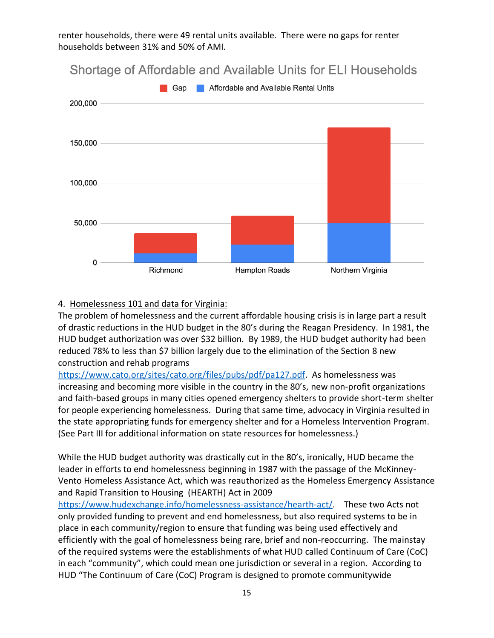renter households, there were 49 rental units available. There were no gaps for renter households between 31% and 50% of AMI.



# Shortage of Affordable and Available Units for ELI Households

#### 4. Homelessness 101 and data for Virginia:

The problem of homelessness and the current affordable housing crisis is in large part a result of drastic reductions in the HUD budget in the 80's during the Reagan Presidency. In 1981, the HUD budget authorization was over \$32 billion. By 1989, the HUD budget authority had been reduced 78% to less than \$7 billion largely due to the elimination of the Section 8 new construction and rehab programs

[https://www.cato.org/sites/cato.org/files/pubs/pdf/pa127.pdf.](https://www.cato.org/sites/cato.org/files/pubs/pdf/pa127.pdf) As homelessness was increasing and becoming more visible in the country in the 80's, new non-profit organizations and faith-based groups in many cities opened emergency shelters to provide short-term shelter for people experiencing homelessness. During that same time, advocacy in Virginia resulted in the state appropriating funds for emergency shelter and for a Homeless Intervention Program. (See Part III for additional information on state resources for homelessness.)

While the HUD budget authority was drastically cut in the 80's, ironically, HUD became the leader in efforts to end homelessness beginning in 1987 with the passage of the McKinney-Vento Homeless Assistance Act, which was reauthorized as the Homeless Emergency Assistance and Rapid Transition to Housing (HEARTH) Act in 2009

[https://www.hudexchange.info/homelessness-assistance/hearth-act/.](https://www.hudexchange.info/homelessness-assistance/hearth-act/) These two Acts not only provided funding to prevent and end homelessness, but also required systems to be in place in each community/region to ensure that funding was being used effectively and efficiently with the goal of homelessness being rare, brief and non-reoccurring. The mainstay of the required systems were the establishments of what HUD called Continuum of Care (CoC) in each "community", which could mean one jurisdiction or several in a region. According to HUD "The Continuum of Care (CoC) Program is designed to promote communitywide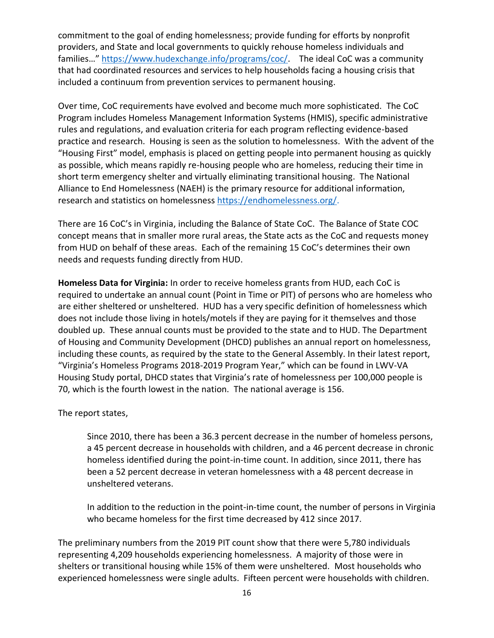commitment to the goal of ending homelessness; provide funding for efforts by nonprofit providers, and State and local governments to quickly rehouse homeless individuals and families…" [https://www.hudexchange.info/programs/coc/.](https://www.hudexchange.info/programs/coc/) The ideal CoC was a community that had coordinated resources and services to help households facing a housing crisis that included a continuum from prevention services to permanent housing.

Over time, CoC requirements have evolved and become much more sophisticated. The CoC Program includes Homeless Management Information Systems (HMIS), specific administrative rules and regulations, and evaluation criteria for each program reflecting evidence-based practice and research. Housing is seen as the solution to homelessness. With the advent of the "Housing First" model, emphasis is placed on getting people into permanent housing as quickly as possible, which means rapidly re-housing people who are homeless, reducing their time in short term emergency shelter and virtually eliminating transitional housing. The National Alliance to End Homelessness (NAEH) is the primary resource for additional information, research and statistics on homelessness [https://endhomelessness.org/.](https://endhomelessness.org/)

There are 16 CoC's in Virginia, including the Balance of State CoC. The Balance of State COC concept means that in smaller more rural areas, the State acts as the CoC and requests money from HUD on behalf of these areas. Each of the remaining 15 CoC's determines their own needs and requests funding directly from HUD.

**Homeless Data for Virginia:** In order to receive homeless grants from HUD, each CoC is required to undertake an annual count (Point in Time or PIT) of persons who are homeless who are either sheltered or unsheltered. HUD has a very specific definition of homelessness which does not include those living in hotels/motels if they are paying for it themselves and those doubled up. These annual counts must be provided to the state and to HUD. The Department of Housing and Community Development (DHCD) publishes an annual report on homelessness, including these counts, as required by the state to the General Assembly. In their latest report, "Virginia's Homeless Programs 2018-2019 Program Year," which can be found in LWV-VA Housing Study portal, DHCD states that Virginia's rate of homelessness per 100,000 people is 70, which is the fourth lowest in the nation. The national average is 156.

The report states,

Since 2010, there has been a 36.3 percent decrease in the number of homeless persons, a 45 percent decrease in households with children, and a 46 percent decrease in chronic homeless identified during the point-in-time count. In addition, since 2011, there has been a 52 percent decrease in veteran homelessness with a 48 percent decrease in unsheltered veterans.

In addition to the reduction in the point-in-time count, the number of persons in Virginia who became homeless for the first time decreased by 412 since 2017.

The preliminary numbers from the 2019 PIT count show that there were 5,780 individuals representing 4,209 households experiencing homelessness. A majority of those were in shelters or transitional housing while 15% of them were unsheltered. Most households who experienced homelessness were single adults. Fifteen percent were households with children.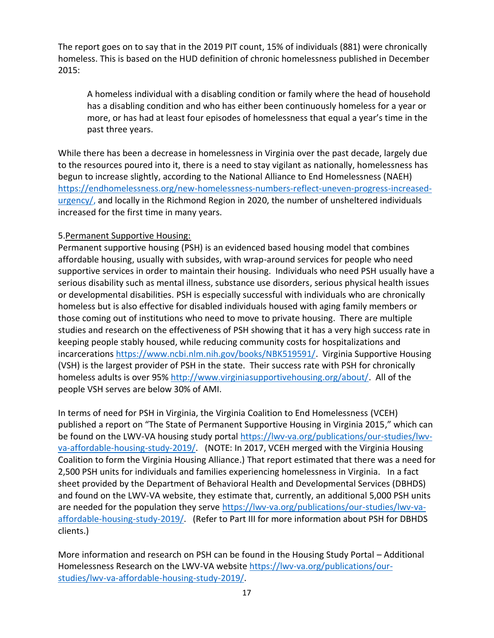The report goes on to say that in the 2019 PIT count, 15% of individuals (881) were chronically homeless. This is based on the HUD definition of chronic homelessness published in December 2015:

A homeless individual with a disabling condition or family where the head of household has a disabling condition and who has either been continuously homeless for a year or more, or has had at least four episodes of homelessness that equal a year's time in the past three years.

While there has been a decrease in homelessness in Virginia over the past decade, largely due to the resources poured into it, there is a need to stay vigilant as nationally, homelessness has begun to increase slightly, according to the National Alliance to End Homelessness (NAEH) [https://endhomelessness.org/new-homelessness-numbers-reflect-uneven-progress-increased](https://endhomelessness.org/new-homelessness-numbers-reflect-uneven-progress-increased-urgency/)[urgency/,](https://endhomelessness.org/new-homelessness-numbers-reflect-uneven-progress-increased-urgency/) and locally in the Richmond Region in 2020, the number of unsheltered individuals increased for the first time in many years.

#### 5.Permanent Supportive Housing:

Permanent supportive housing (PSH) is an evidenced based housing model that combines affordable housing, usually with subsides, with wrap-around services for people who need supportive services in order to maintain their housing. Individuals who need PSH usually have a serious disability such as mental illness, substance use disorders, serious physical health issues or developmental disabilities. PSH is especially successful with individuals who are chronically homeless but is also effective for disabled individuals housed with aging family members or those coming out of institutions who need to move to private housing. There are multiple studies and research on the effectiveness of PSH showing that it has a very high success rate in keeping people stably housed, while reducing community costs for hospitalizations and incarcerations [https://www.ncbi.nlm.nih.gov/books/NBK519591/.](https://www.ncbi.nlm.nih.gov/books/NBK519591/) Virginia Supportive Housing (VSH) is the largest provider of PSH in the state. Their success rate with PSH for chronically homeless adults is over 95% [http://www.virginiasupportivehousing.org/about/.](http://www.virginiasupportivehousing.org/about/) All of the people VSH serves are below 30% of AMI.

In terms of need for PSH in Virginia, the Virginia Coalition to End Homelessness (VCEH) published a report on "The State of Permanent Supportive Housing in Virginia 2015," which can be found on the LWV-VA housing study portal [https://lwv-va.org/publications/our-studies/lwv](https://lwv-va.org/publications/our-studies/lwv-va-affordable-housing-study-2019/)[va-affordable-housing-study-2019/.](https://lwv-va.org/publications/our-studies/lwv-va-affordable-housing-study-2019/) (NOTE: In 2017, VCEH merged with the Virginia Housing Coalition to form the Virginia Housing Alliance.) That report estimated that there was a need for 2,500 PSH units for individuals and families experiencing homelessness in Virginia. In a fact sheet provided by the Department of Behavioral Health and Developmental Services (DBHDS) and found on the LWV-VA website, they estimate that, currently, an additional 5,000 PSH units are needed for the population they serve [https://lwv-va.org/publications/our-studies/lwv-va](https://lwv-va.org/publications/our-studies/lwv-va-affordable-housing-study-2019/)[affordable-housing-study-2019/.](https://lwv-va.org/publications/our-studies/lwv-va-affordable-housing-study-2019/) (Refer to Part III for more information about PSH for DBHDS clients.)

More information and research on PSH can be found in the Housing Study Portal – Additional Homelessness Research on the LWV-VA website [https://lwv-va.org/publications/our](https://lwv-va.org/publications/our-studies/lwv-va-affordable-housing-study-2019/)[studies/lwv-va-affordable-housing-study-2019/.](https://lwv-va.org/publications/our-studies/lwv-va-affordable-housing-study-2019/)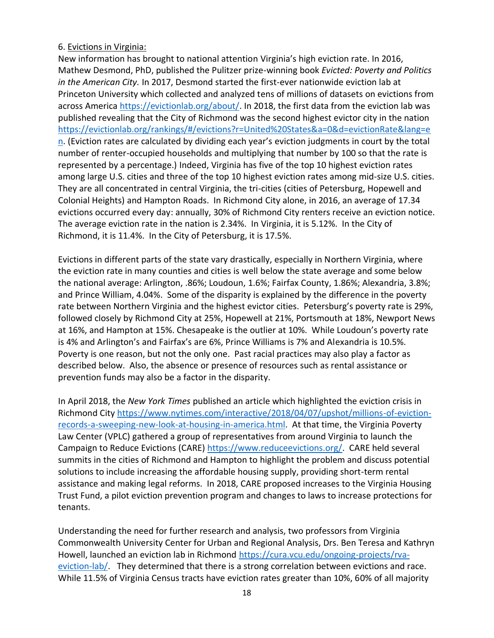#### 6. Evictions in Virginia:

New information has brought to national attention Virginia's high eviction rate. In 2016, Mathew Desmond, PhD, published the Pulitzer prize-winning book *Evicted: Poverty and Politics in the American City.* In 2017, Desmond started the first-ever nationwide eviction lab at Princeton University which collected and analyzed tens of millions of datasets on evictions from across America [https://evictionlab.org/about/.](https://evictionlab.org/about/) In 2018, the first data from the eviction lab was published revealing that the City of Richmond was the second highest evictor city in the nation [https://evictionlab.org/rankings/#/evictions?r=United%20States&a=0&d=evictionRate&lang=e](https://evictionlab.org/rankings/#/evictions?r=United%20States&a=0&d=evictionRate&lang=en) [n.](https://evictionlab.org/rankings/#/evictions?r=United%20States&a=0&d=evictionRate&lang=en) (Eviction rates are calculated by dividing each year's eviction judgments in court by the total number of renter-occupied households and multiplying that number by 100 so that the rate is represented by a percentage.) Indeed, Virginia has five of the top 10 highest eviction rates among large U.S. cities and three of the top 10 highest eviction rates among mid-size U.S. cities. They are all concentrated in central Virginia, the tri-cities (cities of Petersburg, Hopewell and Colonial Heights) and Hampton Roads. In Richmond City alone, in 2016, an average of 17.34 evictions occurred every day: annually, 30% of Richmond City renters receive an eviction notice. The average eviction rate in the nation is 2.34%. In Virginia, it is 5.12%. In the City of Richmond, it is 11.4%. In the City of Petersburg, it is 17.5%.

Evictions in different parts of the state vary drastically, especially in Northern Virginia, where the eviction rate in many counties and cities is well below the state average and some below the national average: Arlington, .86%; Loudoun, 1.6%; Fairfax County, 1.86%; Alexandria, 3.8%; and Prince William, 4.04%. Some of the disparity is explained by the difference in the poverty rate between Northern Virginia and the highest evictor cities. Petersburg's poverty rate is 29%, followed closely by Richmond City at 25%, Hopewell at 21%, Portsmouth at 18%, Newport News at 16%, and Hampton at 15%. Chesapeake is the outlier at 10%. While Loudoun's poverty rate is 4% and Arlington's and Fairfax's are 6%, Prince Williams is 7% and Alexandria is 10.5%. Poverty is one reason, but not the only one. Past racial practices may also play a factor as described below. Also, the absence or presence of resources such as rental assistance or prevention funds may also be a factor in the disparity.

In April 2018, the *New York Times* published an article which highlighted the eviction crisis in Richmond City [https://www.nytimes.com/interactive/2018/04/07/upshot/millions-of-eviction](https://www.nytimes.com/interactive/2018/04/07/upshot/millions-of-eviction-records-a-sweeping-new-look-at-housing-in-america.html)[records-a-sweeping-new-look-at-housing-in-america.html.](https://www.nytimes.com/interactive/2018/04/07/upshot/millions-of-eviction-records-a-sweeping-new-look-at-housing-in-america.html) At that time, the Virginia Poverty Law Center (VPLC) gathered a group of representatives from around Virginia to launch the Campaign to Reduce Evictions (CARE) [https://www.reduceevictions.org/.](https://www.reduceevictions.org/) CARE held several summits in the cities of Richmond and Hampton to highlight the problem and discuss potential solutions to include increasing the affordable housing supply, providing short-term rental assistance and making legal reforms. In 2018, CARE proposed increases to the Virginia Housing Trust Fund, a pilot eviction prevention program and changes to laws to increase protections for tenants.

Understanding the need for further research and analysis, two professors from Virginia Commonwealth University Center for Urban and Regional Analysis, Drs. Ben Teresa and Kathryn Howell, launched an eviction lab in Richmond [https://cura.vcu.edu/ongoing-projects/rva](https://cura.vcu.edu/ongoing-projects/rva-eviction-lab/)[eviction-lab/.](https://cura.vcu.edu/ongoing-projects/rva-eviction-lab/) They determined that there is a strong correlation between evictions and race. While 11.5% of Virginia Census tracts have eviction rates greater than 10%, 60% of all majority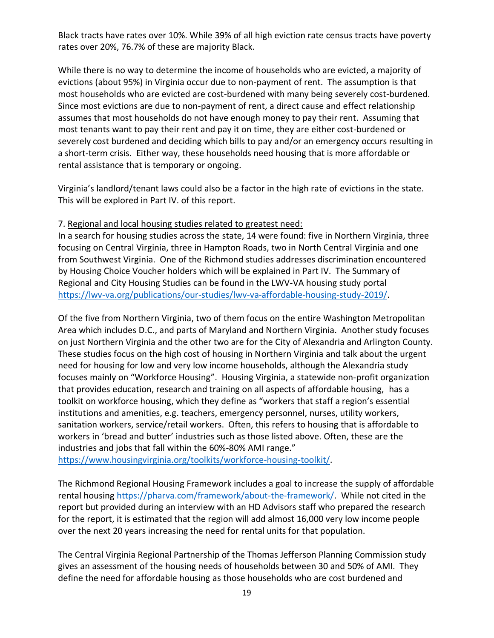Black tracts have rates over 10%. While 39% of all high eviction rate census tracts have poverty rates over 20%, 76.7% of these are majority Black.

While there is no way to determine the income of households who are evicted, a majority of evictions (about 95%) in Virginia occur due to non-payment of rent. The assumption is that most households who are evicted are cost-burdened with many being severely cost-burdened. Since most evictions are due to non-payment of rent, a direct cause and effect relationship assumes that most households do not have enough money to pay their rent. Assuming that most tenants want to pay their rent and pay it on time, they are either cost-burdened or severely cost burdened and deciding which bills to pay and/or an emergency occurs resulting in a short-term crisis. Either way, these households need housing that is more affordable or rental assistance that is temporary or ongoing.

Virginia's landlord/tenant laws could also be a factor in the high rate of evictions in the state. This will be explored in Part IV. of this report.

#### 7. Regional and local housing studies related to greatest need:

In a search for housing studies across the state, 14 were found: five in Northern Virginia, three focusing on Central Virginia, three in Hampton Roads, two in North Central Virginia and one from Southwest Virginia. One of the Richmond studies addresses discrimination encountered by Housing Choice Voucher holders which will be explained in Part IV. The Summary of Regional and City Housing Studies can be found in the LWV-VA housing study portal [https://lwv-va.org/publications/our-studies/lwv-va-affordable-housing-study-2019/.](https://lwv-va.org/publications/our-studies/lwv-va-affordable-housing-study-2019/)

Of the five from Northern Virginia, two of them focus on the entire Washington Metropolitan Area which includes D.C., and parts of Maryland and Northern Virginia. Another study focuses on just Northern Virginia and the other two are for the City of Alexandria and Arlington County. These studies focus on the high cost of housing in Northern Virginia and talk about the urgent need for housing for low and very low income households, although the Alexandria study focuses mainly on "Workforce Housing". Housing Virginia, a statewide non-profit organization that provides education, research and training on all aspects of affordable housing, has a toolkit on workforce housing, which they define as "workers that staff a region's essential institutions and amenities, e.g. teachers, emergency personnel, nurses, utility workers, sanitation workers, service/retail workers. Often, this refers to housing that is affordable to workers in 'bread and butter' industries such as those listed above. Often, these are the industries and jobs that fall within the 60%-80% AMI range."

[https://www.housingvirginia.org/toolkits/workforce-housing-toolkit/.](https://www.housingvirginia.org/toolkits/workforce-housing-toolkit/)

The Richmond Regional Housing Framework includes a goal to increase the supply of affordable rental housing [https://pharva.com/framework/about-the-framework/.](https://pharva.com/framework/about-the-framework/) While not cited in the report but provided during an interview with an HD Advisors staff who prepared the research for the report, it is estimated that the region will add almost 16,000 very low income people over the next 20 years increasing the need for rental units for that population.

The Central Virginia Regional Partnership of the Thomas Jefferson Planning Commission study gives an assessment of the housing needs of households between 30 and 50% of AMI. They define the need for affordable housing as those households who are cost burdened and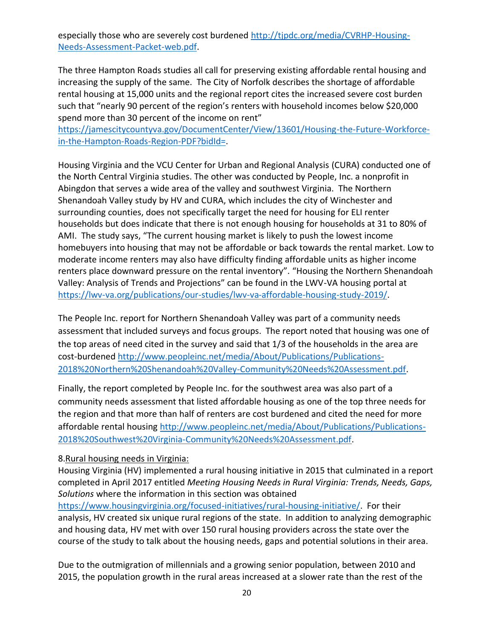especially those who are severely cost burdened [http://tjpdc.org/media/CVRHP-Housing-](http://tjpdc.org/media/CVRHP-Housing-Needs-Assessment-Packet-web.pdf)[Needs-Assessment-Packet-web.pdf.](http://tjpdc.org/media/CVRHP-Housing-Needs-Assessment-Packet-web.pdf)

The three Hampton Roads studies all call for preserving existing affordable rental housing and increasing the supply of the same. The City of Norfolk describes the shortage of affordable rental housing at 15,000 units and the regional report cites the increased severe cost burden such that "nearly 90 percent of the region's renters with household incomes below \$20,000 spend more than 30 percent of the income on rent"

[https://jamescitycountyva.gov/DocumentCenter/View/13601/Housing-the-Future-Workforce](https://jamescitycountyva.gov/DocumentCenter/View/13601/Housing-the-Future-Workforce-in-the-Hampton-Roads-Region-PDF?bidId=)[in-the-Hampton-Roads-Region-PDF?bidId=.](https://jamescitycountyva.gov/DocumentCenter/View/13601/Housing-the-Future-Workforce-in-the-Hampton-Roads-Region-PDF?bidId=)

Housing Virginia and the VCU Center for Urban and Regional Analysis (CURA) conducted one of the North Central Virginia studies. The other was conducted by People, Inc. a nonprofit in Abingdon that serves a wide area of the valley and southwest Virginia. The Northern Shenandoah Valley study by HV and CURA, which includes the city of Winchester and surrounding counties, does not specifically target the need for housing for ELI renter households but does indicate that there is not enough housing for households at 31 to 80% of AMI. The study says, "The current housing market is likely to push the lowest income homebuyers into housing that may not be affordable or back towards the rental market. Low to moderate income renters may also have difficulty finding affordable units as higher income renters place downward pressure on the rental inventory". "Housing the Northern Shenandoah Valley: Analysis of Trends and Projections" can be found in the LWV-VA housing portal at [https://lwv-va.org/publications/our-studies/lwv-va-affordable-housing-study-2019/.](https://lwv-va.org/publications/our-studies/lwv-va-affordable-housing-study-2019/)

The People Inc. report for Northern Shenandoah Valley was part of a community needs assessment that included surveys and focus groups. The report noted that housing was one of the top areas of need cited in the survey and said that 1/3 of the households in the area are cost-burdened [http://www.peopleinc.net/media/About/Publications/Publications-](http://www.peopleinc.net/media/About/Publications/Publications-2018%20Northern%20Shenandoah%20Valley-Community%20Needs%20Assessment.pdf)[2018%20Northern%20Shenandoah%20Valley-Community%20Needs%20Assessment.pdf.](http://www.peopleinc.net/media/About/Publications/Publications-2018%20Northern%20Shenandoah%20Valley-Community%20Needs%20Assessment.pdf)

Finally, the report completed by People Inc. for the southwest area was also part of a community needs assessment that listed affordable housing as one of the top three needs for the region and that more than half of renters are cost burdened and cited the need for more affordable rental housing [http://www.peopleinc.net/media/About/Publications/Publications-](http://www.peopleinc.net/media/About/Publications/Publications-2018%20Southwest%20Virginia-Community%20Needs%20Assessment.pdf)[2018%20Southwest%20Virginia-Community%20Needs%20Assessment.pdf.](http://www.peopleinc.net/media/About/Publications/Publications-2018%20Southwest%20Virginia-Community%20Needs%20Assessment.pdf)

#### 8.Rural housing needs in Virginia:

Housing Virginia (HV) implemented a rural housing initiative in 2015 that culminated in a report completed in April 2017 entitled *Meeting Housing Needs in Rural Virginia: Trends, Needs, Gaps, Solutions* where the information in this section was obtained

[https://www.housingvirginia.org/focused-initiatives/rural-housing-initiative/.](https://www.housingvirginia.org/focused-initiatives/rural-housing-initiative/) For their analysis, HV created six unique rural regions of the state. In addition to analyzing demographic and housing data, HV met with over 150 rural housing providers across the state over the course of the study to talk about the housing needs, gaps and potential solutions in their area.

Due to the outmigration of millennials and a growing senior population, between 2010 and 2015, the population growth in the rural areas increased at a slower rate than the rest of the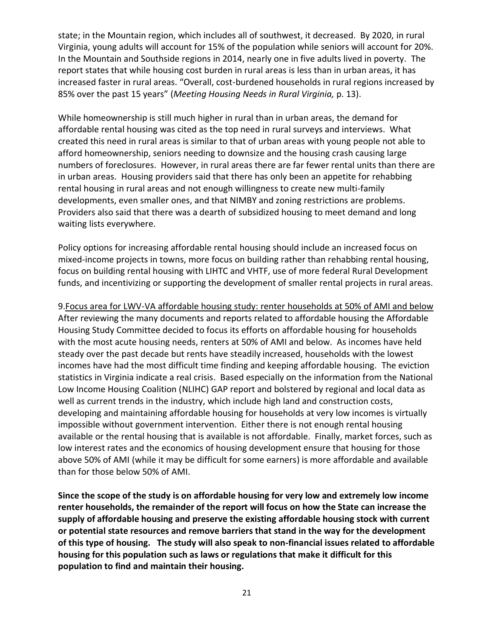state; in the Mountain region, which includes all of southwest, it decreased. By 2020, in rural Virginia, young adults will account for 15% of the population while seniors will account for 20%. In the Mountain and Southside regions in 2014, nearly one in five adults lived in poverty. The report states that while housing cost burden in rural areas is less than in urban areas, it has increased faster in rural areas. "Overall, cost-burdened households in rural regions increased by 85% over the past 15 years" (*Meeting Housing Needs in Rural Virginia,* p. 13).

While homeownership is still much higher in rural than in urban areas, the demand for affordable rental housing was cited as the top need in rural surveys and interviews. What created this need in rural areas is similar to that of urban areas with young people not able to afford homeownership, seniors needing to downsize and the housing crash causing large numbers of foreclosures. However, in rural areas there are far fewer rental units than there are in urban areas. Housing providers said that there has only been an appetite for rehabbing rental housing in rural areas and not enough willingness to create new multi-family developments, even smaller ones, and that NIMBY and zoning restrictions are problems. Providers also said that there was a dearth of subsidized housing to meet demand and long waiting lists everywhere.

Policy options for increasing affordable rental housing should include an increased focus on mixed-income projects in towns, more focus on building rather than rehabbing rental housing, focus on building rental housing with LIHTC and VHTF, use of more federal Rural Development funds, and incentivizing or supporting the development of smaller rental projects in rural areas.

9.Focus area for LWV-VA affordable housing study: renter households at 50% of AMI and below After reviewing the many documents and reports related to affordable housing the Affordable Housing Study Committee decided to focus its efforts on affordable housing for households with the most acute housing needs, renters at 50% of AMI and below. As incomes have held steady over the past decade but rents have steadily increased, households with the lowest incomes have had the most difficult time finding and keeping affordable housing. The eviction statistics in Virginia indicate a real crisis. Based especially on the information from the National Low Income Housing Coalition (NLIHC) GAP report and bolstered by regional and local data as well as current trends in the industry, which include high land and construction costs, developing and maintaining affordable housing for households at very low incomes is virtually impossible without government intervention. Either there is not enough rental housing available or the rental housing that is available is not affordable. Finally, market forces, such as low interest rates and the economics of housing development ensure that housing for those above 50% of AMI (while it may be difficult for some earners) is more affordable and available than for those below 50% of AMI.

**Since the scope of the study is on affordable housing for very low and extremely low income renter households, the remainder of the report will focus on how the State can increase the supply of affordable housing and preserve the existing affordable housing stock with current or potential state resources and remove barriers that stand in the way for the development of this type of housing. The study will also speak to non-financial issues related to affordable housing for this population such as laws or regulations that make it difficult for this population to find and maintain their housing.**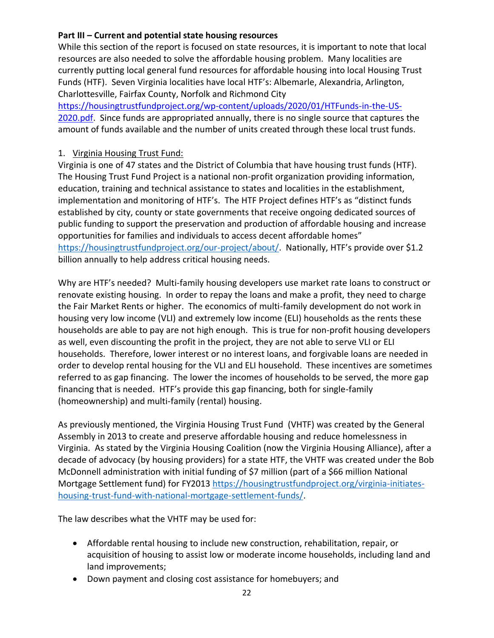#### **Part III – Current and potential state housing resources**

While this section of the report is focused on state resources, it is important to note that local resources are also needed to solve the affordable housing problem. Many localities are currently putting local general fund resources for affordable housing into local Housing Trust Funds (HTF). Seven Virginia localities have local HTF's: Albemarle, Alexandria, Arlington, Charlottesville, Fairfax County, Norfolk and Richmond City

[https://housingtrustfundproject.org/wp-content/uploads/2020/01/HTFunds-in-the-US-](https://housingtrustfundproject.org/wp-content/uploads/2020/01/HTFunds-in-the-US-2020.pdf)[2020.pdf.](https://housingtrustfundproject.org/wp-content/uploads/2020/01/HTFunds-in-the-US-2020.pdf) Since funds are appropriated annually, there is no single source that captures the amount of funds available and the number of units created through these local trust funds.

#### 1. Virginia Housing Trust Fund:

Virginia is one of 47 states and the District of Columbia that have housing trust funds (HTF). The Housing Trust Fund Project is a national non-profit organization providing information, education, training and technical assistance to states and localities in the establishment, implementation and monitoring of HTF's. The HTF Project defines HTF's as "distinct funds established by city, county or state governments that receive ongoing dedicated sources of public funding to support the preservation and production of affordable housing and increase opportunities for families and individuals to access decent affordable homes" [https://housingtrustfundproject.org/our-project/about/.](https://housingtrustfundproject.org/our-project/about/) Nationally, HTF's provide over \$1.2 billion annually to help address critical housing needs.

Why are HTF's needed? Multi-family housing developers use market rate loans to construct or renovate existing housing. In order to repay the loans and make a profit, they need to charge the Fair Market Rents or higher. The economics of multi-family development do not work in housing very low income (VLI) and extremely low income (ELI) households as the rents these households are able to pay are not high enough. This is true for non-profit housing developers as well, even discounting the profit in the project, they are not able to serve VLI or ELI households. Therefore, lower interest or no interest loans, and forgivable loans are needed in order to develop rental housing for the VLI and ELI household. These incentives are sometimes referred to as gap financing. The lower the incomes of households to be served, the more gap financing that is needed. HTF's provide this gap financing, both for single-family (homeownership) and multi-family (rental) housing.

As previously mentioned, the Virginia Housing Trust Fund (VHTF) was created by the General Assembly in 2013 to create and preserve affordable housing and reduce homelessness in Virginia. As stated by the Virginia Housing Coalition (now the Virginia Housing Alliance), after a decade of advocacy (by housing providers) for a state HTF, the VHTF was created under the Bob McDonnell administration with initial funding of \$7 million (part of a \$66 million National Mortgage Settlement fund) for FY2013 [https://housingtrustfundproject.org/virginia-initiates](https://housingtrustfundproject.org/virginia-initiates-housing-trust-fund-with-national-mortgage-settlement-funds/)[housing-trust-fund-with-national-mortgage-settlement-funds/.](https://housingtrustfundproject.org/virginia-initiates-housing-trust-fund-with-national-mortgage-settlement-funds/)

The law describes what the VHTF may be used for:

- Affordable rental housing to include new construction, rehabilitation, repair, or acquisition of housing to assist low or moderate income households, including land and land improvements;
- Down payment and closing cost assistance for homebuyers; and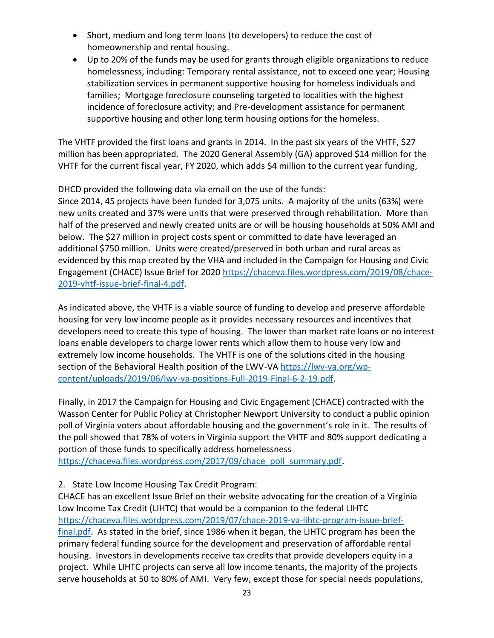- Short, medium and long term loans (to developers) to reduce the cost of homeownership and rental housing.
- Up to 20% of the funds may be used for grants through eligible organizations to reduce homelessness, including: Temporary rental assistance, not to exceed one year; Housing stabilization services in permanent supportive housing for homeless individuals and families; Mortgage foreclosure counseling targeted to localities with the highest incidence of foreclosure activity; and Pre-development assistance for permanent supportive housing and other long term housing options for the homeless.

The VHTF provided the first loans and grants in 2014. In the past six years of the VHTF, \$27 million has been appropriated. The 2020 General Assembly (GA) approved \$14 million for the VHTF for the current fiscal year, FY 2020, which adds \$4 million to the current year funding,

DHCD provided the following data via email on the use of the funds:

Since 2014, 45 projects have been funded for 3,075 units. A majority of the units (63%) were new units created and 37% were units that were preserved through rehabilitation. More than half of the preserved and newly created units are or will be housing households at 50% AMI and below. The \$27 million in project costs spent or committed to date have leveraged an additional \$750 million. Units were created/preserved in both urban and rural areas as evidenced by this map created by the VHA and included in the Campaign for Housing and Civic Engagement (CHACE) Issue Brief for 2020 [https://chaceva.files.wordpress.com/2019/08/chace-](https://chaceva.files.wordpress.com/2019/08/chace-2019-vhtf-issue-brief-final-4.pdf)[2019-vhtf-issue-brief-final-4.pdf.](https://chaceva.files.wordpress.com/2019/08/chace-2019-vhtf-issue-brief-final-4.pdf)

As indicated above, the VHTF is a viable source of funding to develop and preserve affordable housing for very low income people as it provides necessary resources and incentives that developers need to create this type of housing. The lower than market rate loans or no interest loans enable developers to charge lower rents which allow them to house very low and extremely low income households. The VHTF is one of the solutions cited in the housing section of the Behavioral Health position of the LWV-VA [https://lwv-va.org/wp](https://lwv-va.org/wp-content/uploads/2019/06/lwv-va-positions-Full-2019-Final-6-2-19.pdf)[content/uploads/2019/06/lwv-va-positions-Full-2019-Final-6-2-19.pdf.](https://lwv-va.org/wp-content/uploads/2019/06/lwv-va-positions-Full-2019-Final-6-2-19.pdf)

Finally, in 2017 the Campaign for Housing and Civic Engagement (CHACE) contracted with the Wasson Center for Public Policy at Christopher Newport University to conduct a public opinion poll of Virginia voters about affordable housing and the government's role in it. The results of the poll showed that 78% of voters in Virginia support the VHTF and 80% support dedicating a portion of those funds to specifically address homelessness

[https://chaceva.files.wordpress.com/2017/09/chace\\_poll\\_summary.pdf.](https://chaceva.files.wordpress.com/2017/09/chace_poll_summary.pdf)

### 2. State Low Income Housing Tax Credit Program:

CHACE has an excellent Issue Brief on their website advocating for the creation of a Virginia Low Income Tax Credit (LIHTC) that would be a companion to the federal LIHTC [https://chaceva.files.wordpress.com/2019/07/chace-2019-va-lihtc-program-issue-brief](https://chaceva.files.wordpress.com/2019/07/chace-2019-va-lihtc-program-issue-brief-final.pdf)[final.pdf.](https://chaceva.files.wordpress.com/2019/07/chace-2019-va-lihtc-program-issue-brief-final.pdf) As stated in the brief, since 1986 when it began, the LIHTC program has been the primary federal funding source for the development and preservation of affordable rental housing. Investors in developments receive tax credits that provide developers equity in a project. While LIHTC projects can serve all low income tenants, the majority of the projects serve households at 50 to 80% of AMI. Very few, except those for special needs populations,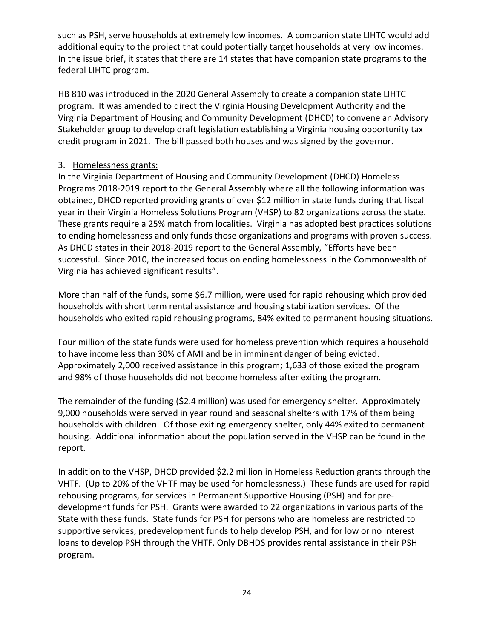such as PSH, serve households at extremely low incomes. A companion state LIHTC would add additional equity to the project that could potentially target households at very low incomes. In the issue brief, it states that there are 14 states that have companion state programs to the federal LIHTC program.

HB 810 was introduced in the 2020 General Assembly to create a companion state LIHTC program. It was amended to direct the Virginia Housing Development Authority and the Virginia Department of Housing and Community Development (DHCD) to convene an Advisory Stakeholder group to develop draft legislation establishing a Virginia housing opportunity tax credit program in 2021. The bill passed both houses and was signed by the governor.

#### 3. Homelessness grants:

In the Virginia Department of Housing and Community Development (DHCD) Homeless Programs 2018-2019 report to the General Assembly where all the following information was obtained, DHCD reported providing grants of over \$12 million in state funds during that fiscal year in their Virginia Homeless Solutions Program (VHSP) to 82 organizations across the state. These grants require a 25% match from localities. Virginia has adopted best practices solutions to ending homelessness and only funds those organizations and programs with proven success. As DHCD states in their 2018-2019 report to the General Assembly, "Efforts have been successful. Since 2010, the increased focus on ending homelessness in the Commonwealth of Virginia has achieved significant results".

More than half of the funds, some \$6.7 million, were used for rapid rehousing which provided households with short term rental assistance and housing stabilization services. Of the households who exited rapid rehousing programs, 84% exited to permanent housing situations.

Four million of the state funds were used for homeless prevention which requires a household to have income less than 30% of AMI and be in imminent danger of being evicted. Approximately 2,000 received assistance in this program; 1,633 of those exited the program and 98% of those households did not become homeless after exiting the program.

The remainder of the funding (\$2.4 million) was used for emergency shelter. Approximately 9,000 households were served in year round and seasonal shelters with 17% of them being households with children. Of those exiting emergency shelter, only 44% exited to permanent housing. Additional information about the population served in the VHSP can be found in the report.

In addition to the VHSP, DHCD provided \$2.2 million in Homeless Reduction grants through the VHTF. (Up to 20% of the VHTF may be used for homelessness.) These funds are used for rapid rehousing programs, for services in Permanent Supportive Housing (PSH) and for predevelopment funds for PSH. Grants were awarded to 22 organizations in various parts of the State with these funds. State funds for PSH for persons who are homeless are restricted to supportive services, predevelopment funds to help develop PSH, and for low or no interest loans to develop PSH through the VHTF. Only DBHDS provides rental assistance in their PSH program.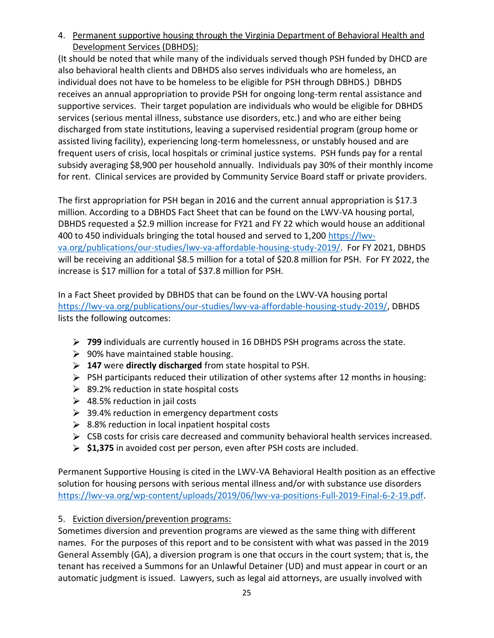4. Permanent supportive housing through the Virginia Department of Behavioral Health and Development Services (DBHDS):

(It should be noted that while many of the individuals served though PSH funded by DHCD are also behavioral health clients and DBHDS also serves individuals who are homeless, an individual does not have to be homeless to be eligible for PSH through DBHDS.) DBHDS receives an annual appropriation to provide PSH for ongoing long-term rental assistance and supportive services. Their target population are individuals who would be eligible for DBHDS services (serious mental illness, substance use disorders, etc.) and who are either being discharged from state institutions, leaving a supervised residential program (group home or assisted living facility), experiencing long-term homelessness, or unstably housed and are frequent users of crisis, local hospitals or criminal justice systems. PSH funds pay for a rental subsidy averaging \$8,900 per household annually. Individuals pay 30% of their monthly income for rent. Clinical services are provided by Community Service Board staff or private providers.

The first appropriation for PSH began in 2016 and the current annual appropriation is \$17.3 million. According to a DBHDS Fact Sheet that can be found on the LWV-VA housing portal, DBHDS requested a \$2.9 million increase for FY21 and FY 22 which would house an additional 400 to 450 individuals bringing the total housed and served to 1,200 [https://lwv](https://lwv-va.org/publications/our-studies/lwv-va-affordable-housing-study-2019/)[va.org/publications/our-studies/lwv-va-affordable-housing-study-2019/.](https://lwv-va.org/publications/our-studies/lwv-va-affordable-housing-study-2019/) For FY 2021, DBHDS will be receiving an additional \$8.5 million for a total of \$20.8 million for PSH. For FY 2022, the increase is \$17 million for a total of \$37.8 million for PSH.

In a Fact Sheet provided by DBHDS that can be found on the LWV-VA housing portal [https://lwv-va.org/publications/our-studies/lwv-va-affordable-housing-study-2019/,](https://lwv-va.org/publications/our-studies/lwv-va-affordable-housing-study-2019/) DBHDS lists the following outcomes:

- **799** individuals are currently housed in 16 DBHDS PSH programs across the state.
- $\geq$  90% have maintained stable housing.
- **147** were **directly discharged** from state hospital to PSH.
- $\triangleright$  PSH participants reduced their utilization of other systems after 12 months in housing:
- $\geq$  89.2% reduction in state hospital costs
- $\geq$  48.5% reduction in jail costs
- ▶ 39.4% reduction in emergency department costs
- $\geq$  8.8% reduction in local inpatient hospital costs
- $\triangleright$  CSB costs for crisis care decreased and community behavioral health services increased.
- **\$1,375** in avoided cost per person, even after PSH costs are included.

Permanent Supportive Housing is cited in the LWV-VA Behavioral Health position as an effective solution for housing persons with serious mental illness and/or with substance use disorders [https://lwv-va.org/wp-content/uploads/2019/06/lwv-va-positions-Full-2019-Final-6-2-19.pdf.](https://lwv-va.org/wp-content/uploads/2019/06/lwv-va-positions-Full-2019-Final-6-2-19.pdf)

#### 5. Eviction diversion/prevention programs:

Sometimes diversion and prevention programs are viewed as the same thing with different names. For the purposes of this report and to be consistent with what was passed in the 2019 General Assembly (GA), a diversion program is one that occurs in the court system; that is, the tenant has received a Summons for an Unlawful Detainer (UD) and must appear in court or an automatic judgment is issued. Lawyers, such as legal aid attorneys, are usually involved with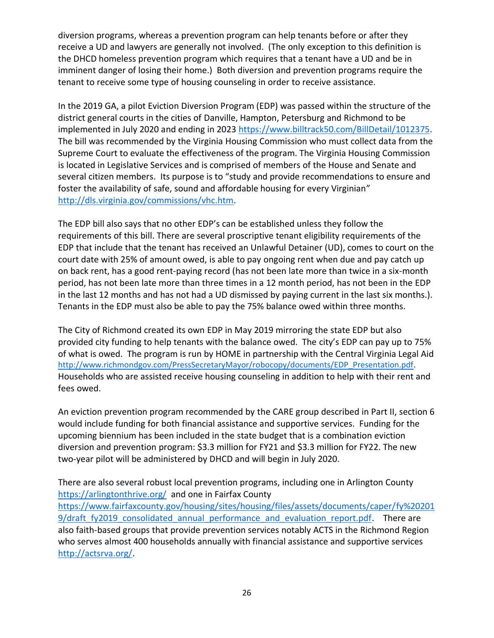diversion programs, whereas a prevention program can help tenants before or after they receive a UD and lawyers are generally not involved. (The only exception to this definition is the DHCD homeless prevention program which requires that a tenant have a UD and be in imminent danger of losing their home.) Both diversion and prevention programs require the tenant to receive some type of housing counseling in order to receive assistance.

In the 2019 GA, a pilot Eviction Diversion Program (EDP) was passed within the structure of the district general courts in the cities of Danville, Hampton, Petersburg and Richmond to be implemented in July 2020 and ending in 2023 [https://www.billtrack50.com/BillDetail/1012375.](https://www.billtrack50.com/BillDetail/1012375) The bill was recommended by the Virginia Housing Commission who must collect data from the Supreme Court to evaluate the effectiveness of the program. The Virginia Housing Commission is located in Legislative Services and is comprised of members of the House and Senate and several citizen members. Its purpose is to "study and provide recommendations to ensure and foster the availability of safe, sound and affordable housing for every Virginian" [http://dls.virginia.gov/commissions/vhc.htm.](http://dls.virginia.gov/commissions/vhc.htm)

The EDP bill also says that no other EDP's can be established unless they follow the requirements of this bill. There are several proscriptive tenant eligibility requirements of the EDP that include that the tenant has received an Unlawful Detainer (UD), comes to court on the court date with 25% of amount owed, is able to pay ongoing rent when due and pay catch up on back rent, has a good rent-paying record (has not been late more than twice in a six-month period, has not been late more than three times in a 12 month period, has not been in the EDP in the last 12 months and has not had a UD dismissed by paying current in the last six months.). Tenants in the EDP must also be able to pay the 75% balance owed within three months.

The City of Richmond created its own EDP in May 2019 mirroring the state EDP but also provided city funding to help tenants with the balance owed. The city's EDP can pay up to 75% of what is owed. The program is run by HOME in partnership with the Central Virginia Legal Aid [http://www.richmondgov.com/PressSecretaryMayor/robocopy/documents/EDP\\_Presentation.pdf.](http://www.richmondgov.com/PressSecretaryMayor/robocopy/documents/EDP_Presentation.pdf) Households who are assisted receive housing counseling in addition to help with their rent and fees owed.

An eviction prevention program recommended by the CARE group described in Part II, section 6 would include funding for both financial assistance and supportive services. Funding for the upcoming biennium has been included in the state budget that is a combination eviction diversion and prevention program: \$3.3 million for FY21 and \$3.3 million for FY22. The new two-year pilot will be administered by DHCD and will begin in July 2020.

There are also several robust local prevention programs, including one in Arlington County <https://arlingtonthrive.org/>and one in Fairfax County [https://www.fairfaxcounty.gov/housing/sites/housing/files/assets/documents/caper/fy%20201](https://www.fairfaxcounty.gov/housing/sites/housing/files/assets/documents/caper/fy%202019/draft_fy2019_consolidated_annual_performance_and_evaluation_report.pdf) 9/draft fy2019 consolidated annual performance and evaluation report.pdf. There are also faith-based groups that provide prevention services notably ACTS in the Richmond Region who serves almost 400 households annually with financial assistance and supportive services [http://actsrva.org/.](http://actsrva.org/)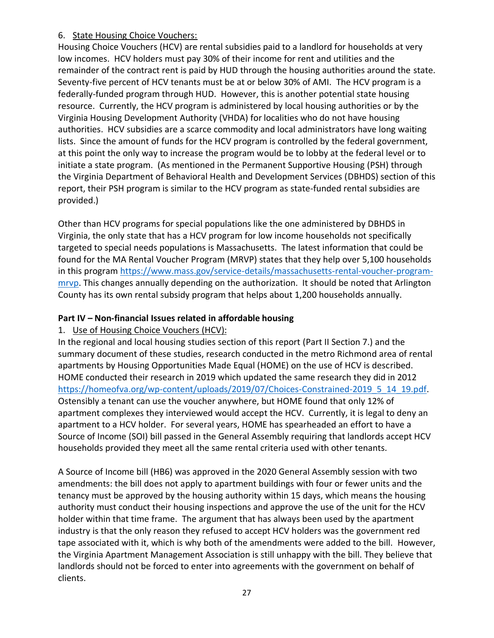#### 6. State Housing Choice Vouchers:

Housing Choice Vouchers (HCV) are rental subsidies paid to a landlord for households at very low incomes. HCV holders must pay 30% of their income for rent and utilities and the remainder of the contract rent is paid by HUD through the housing authorities around the state. Seventy-five percent of HCV tenants must be at or below 30% of AMI. The HCV program is a federally-funded program through HUD. However, this is another potential state housing resource. Currently, the HCV program is administered by local housing authorities or by the Virginia Housing Development Authority (VHDA) for localities who do not have housing authorities. HCV subsidies are a scarce commodity and local administrators have long waiting lists. Since the amount of funds for the HCV program is controlled by the federal government, at this point the only way to increase the program would be to lobby at the federal level or to initiate a state program. (As mentioned in the Permanent Supportive Housing (PSH) through the Virginia Department of Behavioral Health and Development Services (DBHDS) section of this report, their PSH program is similar to the HCV program as state-funded rental subsidies are provided.)

Other than HCV programs for special populations like the one administered by DBHDS in Virginia, the only state that has a HCV program for low income households not specifically targeted to special needs populations is Massachusetts. The latest information that could be found for the MA Rental Voucher Program (MRVP) states that they help over 5,100 households in this program [https://www.mass.gov/service-details/massachusetts-rental-voucher-program](https://www.mass.gov/service-details/massachusetts-rental-voucher-program-mrvp)[mrvp.](https://www.mass.gov/service-details/massachusetts-rental-voucher-program-mrvp) This changes annually depending on the authorization. It should be noted that Arlington County has its own rental subsidy program that helps about 1,200 households annually.

## **Part IV – Non-financial Issues related in affordable housing**

### 1. Use of Housing Choice Vouchers (HCV):

In the regional and local housing studies section of this report (Part II Section 7.) and the summary document of these studies, research conducted in the metro Richmond area of rental apartments by Housing Opportunities Made Equal (HOME) on the use of HCV is described. HOME conducted their research in 2019 which updated the same research they did in 2012 https://homeofva.org/wp-content/uploads/2019/07/Choices-Constrained-2019 5 14 19.pdf. Ostensibly a tenant can use the voucher anywhere, but HOME found that only 12% of apartment complexes they interviewed would accept the HCV. Currently, it is legal to deny an apartment to a HCV holder. For several years, HOME has spearheaded an effort to have a Source of Income (SOI) bill passed in the General Assembly requiring that landlords accept HCV households provided they meet all the same rental criteria used with other tenants.

A Source of Income bill (HB6) was approved in the 2020 General Assembly session with two amendments: the bill does not apply to apartment buildings with four or fewer units and the tenancy must be approved by the housing authority within 15 days, which means the housing authority must conduct their housing inspections and approve the use of the unit for the HCV holder within that time frame. The argument that has always been used by the apartment industry is that the only reason they refused to accept HCV holders was the government red tape associated with it, which is why both of the amendments were added to the bill. However, the Virginia Apartment Management Association is still unhappy with the bill. They believe that landlords should not be forced to enter into agreements with the government on behalf of clients.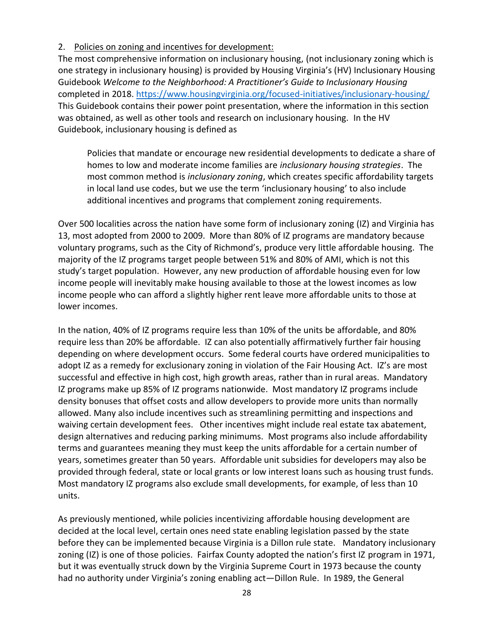#### 2. Policies on zoning and incentives for development:

The most comprehensive information on inclusionary housing, (not inclusionary zoning which is one strategy in inclusionary housing) is provided by Housing Virginia's (HV) Inclusionary Housing Guidebook *Welcome to the Neighborhood: A Practitioner's Guide to Inclusionary Housing* completed in 2018.<https://www.housingvirginia.org/focused-initiatives/inclusionary-housing/> This Guidebook contains their power point presentation, where the information in this section was obtained, as well as other tools and research on inclusionary housing. In the HV Guidebook, inclusionary housing is defined as

Policies that mandate or encourage new residential developments to dedicate a share of homes to low and moderate income families are *inclusionary housing strategies*. The most common method is *inclusionary zoning*, which creates specific affordability targets in local land use codes, but we use the term 'inclusionary housing' to also include additional incentives and programs that complement zoning requirements.

Over 500 localities across the nation have some form of inclusionary zoning (IZ) and Virginia has 13, most adopted from 2000 to 2009. More than 80% of IZ programs are mandatory because voluntary programs, such as the City of Richmond's, produce very little affordable housing. The majority of the IZ programs target people between 51% and 80% of AMI, which is not this study's target population. However, any new production of affordable housing even for low income people will inevitably make housing available to those at the lowest incomes as low income people who can afford a slightly higher rent leave more affordable units to those at lower incomes.

In the nation, 40% of IZ programs require less than 10% of the units be affordable, and 80% require less than 20% be affordable. IZ can also potentially affirmatively further fair housing depending on where development occurs. Some federal courts have ordered municipalities to adopt IZ as a remedy for exclusionary zoning in violation of the Fair Housing Act. IZ's are most successful and effective in high cost, high growth areas, rather than in rural areas. Mandatory IZ programs make up 85% of IZ programs nationwide. Most mandatory IZ programs include density bonuses that offset costs and allow developers to provide more units than normally allowed. Many also include incentives such as streamlining permitting and inspections and waiving certain development fees. Other incentives might include real estate tax abatement, design alternatives and reducing parking minimums. Most programs also include affordability terms and guarantees meaning they must keep the units affordable for a certain number of years, sometimes greater than 50 years. Affordable unit subsidies for developers may also be provided through federal, state or local grants or low interest loans such as housing trust funds. Most mandatory IZ programs also exclude small developments, for example, of less than 10 units.

As previously mentioned, while policies incentivizing affordable housing development are decided at the local level, certain ones need state enabling legislation passed by the state before they can be implemented because Virginia is a Dillon rule state. Mandatory inclusionary zoning (IZ) is one of those policies. Fairfax County adopted the nation's first IZ program in 1971, but it was eventually struck down by the Virginia Supreme Court in 1973 because the county had no authority under Virginia's zoning enabling act—Dillon Rule. In 1989, the General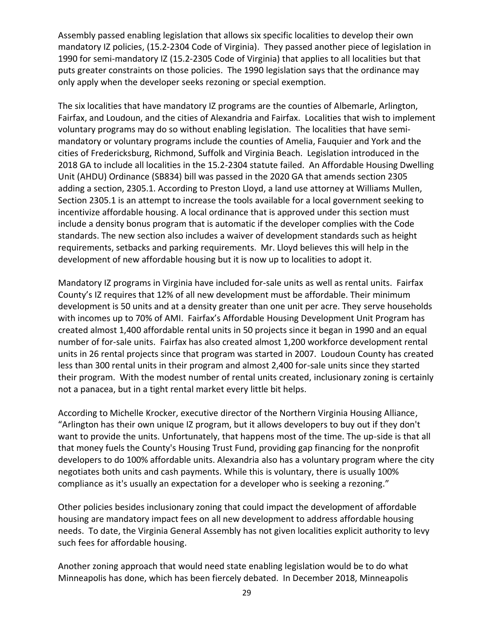Assembly passed enabling legislation that allows six specific localities to develop their own mandatory IZ policies, (15.2-2304 Code of Virginia). They passed another piece of legislation in 1990 for semi-mandatory IZ (15.2-2305 Code of Virginia) that applies to all localities but that puts greater constraints on those policies. The 1990 legislation says that the ordinance may only apply when the developer seeks rezoning or special exemption.

The six localities that have mandatory IZ programs are the counties of Albemarle, Arlington, Fairfax, and Loudoun, and the cities of Alexandria and Fairfax. Localities that wish to implement voluntary programs may do so without enabling legislation. The localities that have semimandatory or voluntary programs include the counties of Amelia, Fauquier and York and the cities of Fredericksburg, Richmond, Suffolk and Virginia Beach. Legislation introduced in the 2018 GA to include all localities in the 15.2-2304 statute failed. An Affordable Housing Dwelling Unit (AHDU) Ordinance (SB834) bill was passed in the 2020 GA that amends section 2305 adding a section, 2305.1. According to Preston Lloyd, a land use attorney at Williams Mullen, Section 2305.1 is an attempt to increase the tools available for a local government seeking to incentivize affordable housing. A local ordinance that is approved under this section must include a density bonus program that is automatic if the developer complies with the Code standards. The new section also includes a waiver of development standards such as height requirements, setbacks and parking requirements. Mr. Lloyd believes this will help in the development of new affordable housing but it is now up to localities to adopt it.

Mandatory IZ programs in Virginia have included for-sale units as well as rental units. Fairfax County's IZ requires that 12% of all new development must be affordable. Their minimum development is 50 units and at a density greater than one unit per acre. They serve households with incomes up to 70% of AMI. Fairfax's Affordable Housing Development Unit Program has created almost 1,400 affordable rental units in 50 projects since it began in 1990 and an equal number of for-sale units. Fairfax has also created almost 1,200 workforce development rental units in 26 rental projects since that program was started in 2007. Loudoun County has created less than 300 rental units in their program and almost 2,400 for-sale units since they started their program. With the modest number of rental units created, inclusionary zoning is certainly not a panacea, but in a tight rental market every little bit helps.

According to Michelle Krocker, executive director of the Northern Virginia Housing Alliance, "Arlington has their own unique IZ program, but it allows developers to buy out if they don't want to provide the units. Unfortunately, that happens most of the time. The up-side is that all that money fuels the County's Housing Trust Fund, providing gap financing for the nonprofit developers to do 100% affordable units. Alexandria also has a voluntary program where the city negotiates both units and cash payments. While this is voluntary, there is usually 100% compliance as it's usually an expectation for a developer who is seeking a rezoning."

Other policies besides inclusionary zoning that could impact the development of affordable housing are mandatory impact fees on all new development to address affordable housing needs. To date, the Virginia General Assembly has not given localities explicit authority to levy such fees for affordable housing.

Another zoning approach that would need state enabling legislation would be to do what Minneapolis has done, which has been fiercely debated. In December 2018, Minneapolis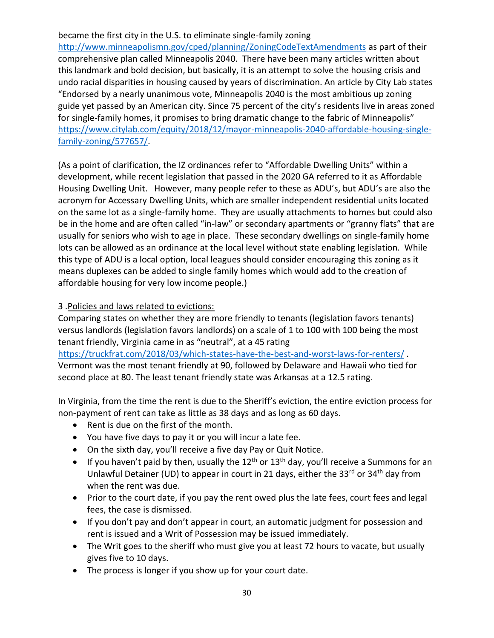#### became the first city in the U.S. to eliminate single-family zoning

<http://www.minneapolismn.gov/cped/planning/ZoningCodeTextAmendments> as part of their comprehensive plan called Minneapolis 2040. There have been many articles written about this landmark and bold decision, but basically, it is an attempt to solve the housing crisis and undo racial disparities in housing caused by years of discrimination. An article by City Lab states "Endorsed by a nearly unanimous vote, Minneapolis 2040 is the most ambitious up zoning guide yet passed by an American city. Since 75 percent of the city's residents live in areas zoned for single-family homes, it promises to bring dramatic change to the fabric of Minneapolis" [https://www.citylab.com/equity/2018/12/mayor-minneapolis-2040-affordable-housing-single](https://www.citylab.com/equity/2018/12/mayor-minneapolis-2040-affordable-housing-single-family-zoning/577657/)[family-zoning/577657/.](https://www.citylab.com/equity/2018/12/mayor-minneapolis-2040-affordable-housing-single-family-zoning/577657/)

(As a point of clarification, the IZ ordinances refer to "Affordable Dwelling Units" within a development, while recent legislation that passed in the 2020 GA referred to it as Affordable Housing Dwelling Unit. However, many people refer to these as ADU's, but ADU's are also the acronym for Accessary Dwelling Units, which are smaller independent residential units located on the same lot as a single-family home. They are usually attachments to homes but could also be in the home and are often called "in-law" or secondary apartments or "granny flats" that are usually for seniors who wish to age in place. These secondary dwellings on single-family home lots can be allowed as an ordinance at the local level without state enabling legislation. While this type of ADU is a local option, local leagues should consider encouraging this zoning as it means duplexes can be added to single family homes which would add to the creation of affordable housing for very low income people.)

#### 3 .Policies and laws related to evictions:

Comparing states on whether they are more friendly to tenants (legislation favors tenants) versus landlords (legislation favors landlords) on a scale of 1 to 100 with 100 being the most tenant friendly, Virginia came in as "neutral", at a 45 rating

<https://truckfrat.com/2018/03/which-states-have-the-best-and-worst-laws-for-renters/>. Vermont was the most tenant friendly at 90, followed by Delaware and Hawaii who tied for second place at 80. The least tenant friendly state was Arkansas at a 12.5 rating.

In Virginia, from the time the rent is due to the Sheriff's eviction, the entire eviction process for non-payment of rent can take as little as 38 days and as long as 60 days.

- Rent is due on the first of the month.
- You have five days to pay it or you will incur a late fee.
- On the sixth day, you'll receive a five day Pay or Quit Notice.
- If you haven't paid by then, usually the  $12<sup>th</sup>$  or  $13<sup>th</sup>$  day, you'll receive a Summons for an Unlawful Detainer (UD) to appear in court in 21 days, either the 33 $^{rd}$  or 34<sup>th</sup> day from when the rent was due.
- Prior to the court date, if you pay the rent owed plus the late fees, court fees and legal fees, the case is dismissed.
- If you don't pay and don't appear in court, an automatic judgment for possession and rent is issued and a Writ of Possession may be issued immediately.
- The Writ goes to the sheriff who must give you at least 72 hours to vacate, but usually gives five to 10 days.
- The process is longer if you show up for your court date.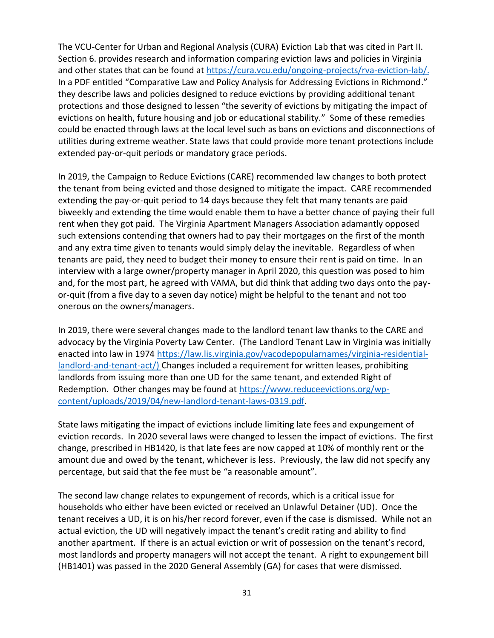The VCU-Center for Urban and Regional Analysis (CURA) Eviction Lab that was cited in Part II. Section 6. provides research and information comparing eviction laws and policies in Virginia and other states that can be found at [https://cura.vcu.edu/ongoing-projects/rva-eviction-lab/.](https://cura.vcu.edu/ongoing-projects/rva-eviction-lab/) In a PDF entitled "Comparative Law and Policy Analysis for Addressing Evictions in Richmond." they describe laws and policies designed to reduce evictions by providing additional tenant protections and those designed to lessen "the severity of evictions by mitigating the impact of evictions on health, future housing and job or educational stability." Some of these remedies could be enacted through laws at the local level such as bans on evictions and disconnections of utilities during extreme weather. State laws that could provide more tenant protections include extended pay-or-quit periods or mandatory grace periods.

In 2019, the Campaign to Reduce Evictions (CARE) recommended law changes to both protect the tenant from being evicted and those designed to mitigate the impact. CARE recommended extending the pay-or-quit period to 14 days because they felt that many tenants are paid biweekly and extending the time would enable them to have a better chance of paying their full rent when they got paid. The Virginia Apartment Managers Association adamantly opposed such extensions contending that owners had to pay their mortgages on the first of the month and any extra time given to tenants would simply delay the inevitable. Regardless of when tenants are paid, they need to budget their money to ensure their rent is paid on time. In an interview with a large owner/property manager in April 2020, this question was posed to him and, for the most part, he agreed with VAMA, but did think that adding two days onto the payor-quit (from a five day to a seven day notice) might be helpful to the tenant and not too onerous on the owners/managers.

In 2019, there were several changes made to the landlord tenant law thanks to the CARE and advocacy by the Virginia Poverty Law Center. (The Landlord Tenant Law in Virginia was initially enacted into law in 1974 [https://law.lis.virginia.gov/vacodepopularnames/virginia-residential](https://law.lis.virginia.gov/vacodepopularnames/virginia-residential-landlord-and-tenant-act/)[landlord-and-tenant-act/\)](https://law.lis.virginia.gov/vacodepopularnames/virginia-residential-landlord-and-tenant-act/) Changes included a requirement for written leases, prohibiting landlords from issuing more than one UD for the same tenant, and extended Right of Redemption. Other changes may be found at [https://www.reduceevictions.org/wp](https://www.reduceevictions.org/wp-content/uploads/2019/04/new-landlord-tenant-laws-0319.pdf)[content/uploads/2019/04/new-landlord-tenant-laws-0319.pdf.](https://www.reduceevictions.org/wp-content/uploads/2019/04/new-landlord-tenant-laws-0319.pdf)

State laws mitigating the impact of evictions include limiting late fees and expungement of eviction records. In 2020 several laws were changed to lessen the impact of evictions. The first change, prescribed in HB1420, is that late fees are now capped at 10% of monthly rent or the amount due and owed by the tenant, whichever is less. Previously, the law did not specify any percentage, but said that the fee must be "a reasonable amount".

The second law change relates to expungement of records, which is a critical issue for households who either have been evicted or received an Unlawful Detainer (UD). Once the tenant receives a UD, it is on his/her record forever, even if the case is dismissed. While not an actual eviction, the UD will negatively impact the tenant's credit rating and ability to find another apartment. If there is an actual eviction or writ of possession on the tenant's record, most landlords and property managers will not accept the tenant. A right to expungement bill (HB1401) was passed in the 2020 General Assembly (GA) for cases that were dismissed.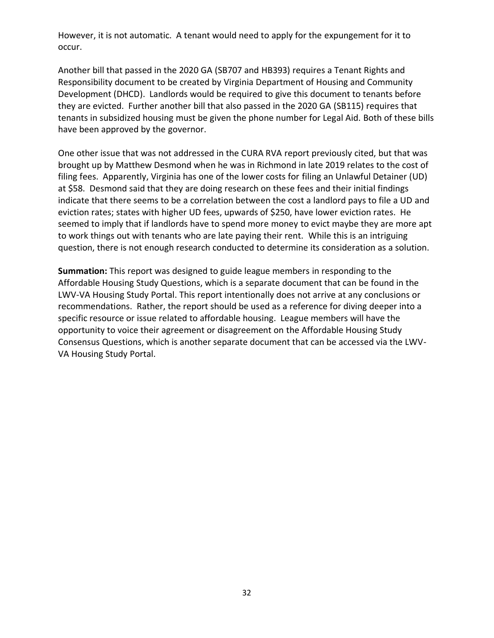However, it is not automatic. A tenant would need to apply for the expungement for it to occur.

Another bill that passed in the 2020 GA (SB707 and HB393) requires a Tenant Rights and Responsibility document to be created by Virginia Department of Housing and Community Development (DHCD). Landlords would be required to give this document to tenants before they are evicted. Further another bill that also passed in the 2020 GA (SB115) requires that tenants in subsidized housing must be given the phone number for Legal Aid. Both of these bills have been approved by the governor.

One other issue that was not addressed in the CURA RVA report previously cited, but that was brought up by Matthew Desmond when he was in Richmond in late 2019 relates to the cost of filing fees. Apparently, Virginia has one of the lower costs for filing an Unlawful Detainer (UD) at \$58. Desmond said that they are doing research on these fees and their initial findings indicate that there seems to be a correlation between the cost a landlord pays to file a UD and eviction rates; states with higher UD fees, upwards of \$250, have lower eviction rates. He seemed to imply that if landlords have to spend more money to evict maybe they are more apt to work things out with tenants who are late paying their rent. While this is an intriguing question, there is not enough research conducted to determine its consideration as a solution.

**Summation:** This report was designed to guide league members in responding to the Affordable Housing Study Questions, which is a separate document that can be found in the LWV-VA Housing Study Portal. This report intentionally does not arrive at any conclusions or recommendations. Rather, the report should be used as a reference for diving deeper into a specific resource or issue related to affordable housing. League members will have the opportunity to voice their agreement or disagreement on the Affordable Housing Study Consensus Questions, which is another separate document that can be accessed via the LWV-VA Housing Study Portal.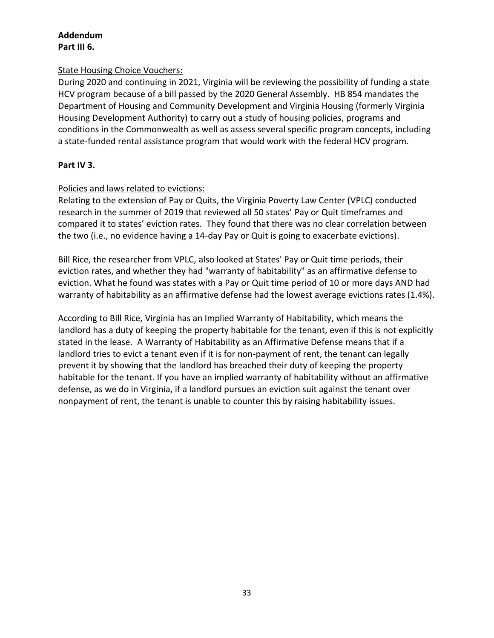## **Addendum**

#### **Part III 6.**

#### State Housing Choice Vouchers:

During 2020 and continuing in 2021, Virginia will be reviewing the possibility of funding a state HCV program because of a bill passed by the 2020 General Assembly. HB 854 mandates the Department of Housing and Community Development and Virginia Housing (formerly Virginia Housing Development Authority) to carry out a study of housing policies, programs and conditions in the Commonwealth as well as assess several specific program concepts, including a state-funded rental assistance program that would work with the federal HCV program.

#### **Part IV 3.**

#### Policies and laws related to evictions:

Relating to the extension of Pay or Quits, the Virginia Poverty Law Center (VPLC) conducted research in the summer of 2019 that reviewed all 50 states' Pay or Quit timeframes and compared it to states' eviction rates. They found that there was no clear correlation between the two (i.e., no evidence having a 14-day Pay or Quit is going to exacerbate evictions).

Bill Rice, the researcher from VPLC, also looked at States' Pay or Quit time periods, their eviction rates, and whether they had "warranty of habitability" as an affirmative defense to eviction. What he found was states with a Pay or Quit time period of 10 or more days AND had warranty of habitability as an affirmative defense had the lowest average evictions rates (1.4%).

According to Bill Rice, Virginia has an Implied Warranty of Habitability, which means the landlord has a duty of keeping the property habitable for the tenant, even if this is not explicitly stated in the lease. A Warranty of Habitability as an Affirmative Defense means that if a landlord tries to evict a tenant even if it is for non-payment of rent, the tenant can legally prevent it by showing that the landlord has breached their duty of keeping the property habitable for the tenant. If you have an implied warranty of habitability without an affirmative defense, as we do in Virginia, if a landlord pursues an eviction suit against the tenant over nonpayment of rent, the tenant is unable to counter this by raising habitability issues.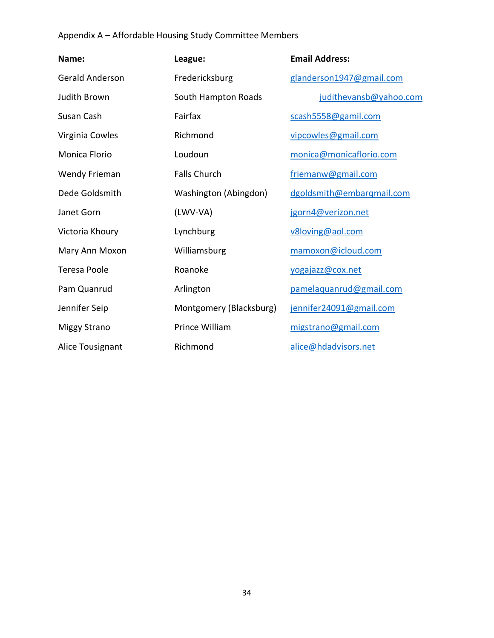## Appendix A – Affordable Housing Study Committee Members

| Name:                  | League:                 | <b>Email Address:</b>     |
|------------------------|-------------------------|---------------------------|
| <b>Gerald Anderson</b> | Fredericksburg          | glanderson1947@gmail.com  |
| Judith Brown           | South Hampton Roads     | judithevansb@yahoo.com    |
| Susan Cash             | Fairfax                 | scash5558@gamil.com       |
| Virginia Cowles        | Richmond                | vipcowles@gmail.com       |
| Monica Florio          | Loudoun                 | monica@monicaflorio.com   |
| Wendy Frieman          | <b>Falls Church</b>     | friemanw@gmail.com        |
| Dede Goldsmith         | Washington (Abingdon)   | dgoldsmith@embarqmail.com |
| Janet Gorn             | (LWV-VA)                | jgorn4@verizon.net        |
| Victoria Khoury        | Lynchburg               | v8loving@aol.com          |
| Mary Ann Moxon         | Williamsburg            | mamoxon@icloud.com        |
| <b>Teresa Poole</b>    | Roanoke                 | yogajazz@cox.net          |
| Pam Quanrud            | Arlington               | pamelaquanrud@gmail.com   |
| Jennifer Seip          | Montgomery (Blacksburg) | jennifer24091@gmail.com   |
| <b>Miggy Strano</b>    | Prince William          | migstrano@gmail.com       |
| Alice Tousignant       | Richmond                | alice@hdadvisors.net      |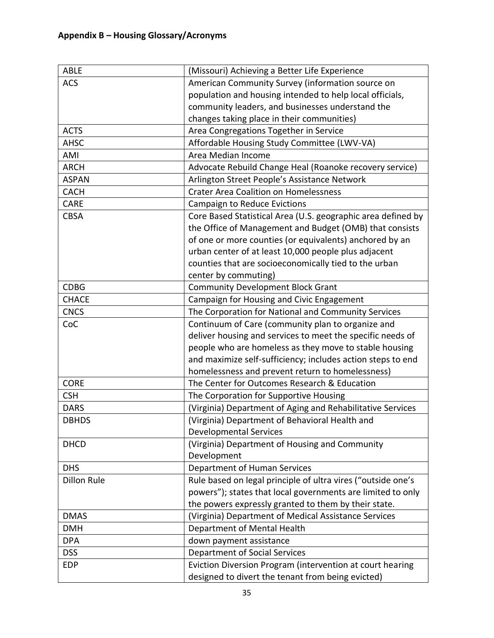| ABLE               | (Missouri) Achieving a Better Life Experience                                                                                                                                                                                                                                                                               |
|--------------------|-----------------------------------------------------------------------------------------------------------------------------------------------------------------------------------------------------------------------------------------------------------------------------------------------------------------------------|
| <b>ACS</b>         | American Community Survey (information source on                                                                                                                                                                                                                                                                            |
|                    | population and housing intended to help local officials,                                                                                                                                                                                                                                                                    |
|                    | community leaders, and businesses understand the                                                                                                                                                                                                                                                                            |
|                    | changes taking place in their communities)                                                                                                                                                                                                                                                                                  |
| <b>ACTS</b>        | Area Congregations Together in Service                                                                                                                                                                                                                                                                                      |
| <b>AHSC</b>        | Affordable Housing Study Committee (LWV-VA)                                                                                                                                                                                                                                                                                 |
| AMI                | Area Median Income                                                                                                                                                                                                                                                                                                          |
| <b>ARCH</b>        | Advocate Rebuild Change Heal (Roanoke recovery service)                                                                                                                                                                                                                                                                     |
| <b>ASPAN</b>       | Arlington Street People's Assistance Network                                                                                                                                                                                                                                                                                |
| <b>CACH</b>        | <b>Crater Area Coalition on Homelessness</b>                                                                                                                                                                                                                                                                                |
| <b>CARE</b>        | Campaign to Reduce Evictions                                                                                                                                                                                                                                                                                                |
| <b>CBSA</b>        | Core Based Statistical Area (U.S. geographic area defined by<br>the Office of Management and Budget (OMB) that consists<br>of one or more counties (or equivalents) anchored by an<br>urban center of at least 10,000 people plus adjacent<br>counties that are socioeconomically tied to the urban<br>center by commuting) |
| <b>CDBG</b>        | <b>Community Development Block Grant</b>                                                                                                                                                                                                                                                                                    |
| <b>CHACE</b>       | Campaign for Housing and Civic Engagement                                                                                                                                                                                                                                                                                   |
| <b>CNCS</b>        | The Corporation for National and Community Services                                                                                                                                                                                                                                                                         |
| CoC                | Continuum of Care (community plan to organize and<br>deliver housing and services to meet the specific needs of<br>people who are homeless as they move to stable housing<br>and maximize self-sufficiency; includes action steps to end<br>homelessness and prevent return to homelessness)                                |
| <b>CORE</b>        | The Center for Outcomes Research & Education                                                                                                                                                                                                                                                                                |
| <b>CSH</b>         | The Corporation for Supportive Housing                                                                                                                                                                                                                                                                                      |
| <b>DARS</b>        | (Virginia) Department of Aging and Rehabilitative Services                                                                                                                                                                                                                                                                  |
| <b>DBHDS</b>       | (Virginia) Department of Behavioral Health and                                                                                                                                                                                                                                                                              |
|                    | <b>Developmental Services</b>                                                                                                                                                                                                                                                                                               |
| <b>DHCD</b>        | (Virginia) Department of Housing and Community<br>Development                                                                                                                                                                                                                                                               |
| <b>DHS</b>         | Department of Human Services                                                                                                                                                                                                                                                                                                |
| <b>Dillon Rule</b> | Rule based on legal principle of ultra vires ("outside one's<br>powers"); states that local governments are limited to only<br>the powers expressly granted to them by their state.                                                                                                                                         |
| <b>DMAS</b>        | (Virginia) Department of Medical Assistance Services                                                                                                                                                                                                                                                                        |
| <b>DMH</b>         | Department of Mental Health                                                                                                                                                                                                                                                                                                 |
| <b>DPA</b>         | down payment assistance                                                                                                                                                                                                                                                                                                     |
| <b>DSS</b>         | <b>Department of Social Services</b>                                                                                                                                                                                                                                                                                        |
| <b>EDP</b>         | Eviction Diversion Program (intervention at court hearing<br>designed to divert the tenant from being evicted)                                                                                                                                                                                                              |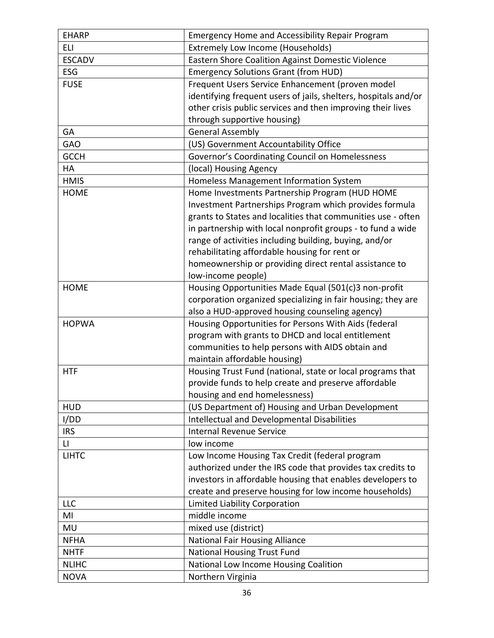| <b>EHARP</b>           | Emergency Home and Accessibility Repair Program                 |
|------------------------|-----------------------------------------------------------------|
| <b>ELI</b>             | <b>Extremely Low Income (Households)</b>                        |
| <b>ESCADV</b>          | Eastern Shore Coalition Against Domestic Violence               |
| ESG                    | <b>Emergency Solutions Grant (from HUD)</b>                     |
| <b>FUSE</b>            | Frequent Users Service Enhancement (proven model                |
|                        | identifying frequent users of jails, shelters, hospitals and/or |
|                        | other crisis public services and then improving their lives     |
|                        | through supportive housing)                                     |
| GA                     | <b>General Assembly</b>                                         |
| <b>GAO</b>             | (US) Government Accountability Office                           |
| <b>GCCH</b>            | Governor's Coordinating Council on Homelessness                 |
| HA                     | (local) Housing Agency                                          |
| <b>HMIS</b>            | Homeless Management Information System                          |
| <b>HOME</b>            | Home Investments Partnership Program (HUD HOME                  |
|                        | Investment Partnerships Program which provides formula          |
|                        | grants to States and localities that communities use - often    |
|                        | in partnership with local nonprofit groups - to fund a wide     |
|                        | range of activities including building, buying, and/or          |
|                        | rehabilitating affordable housing for rent or                   |
|                        | homeownership or providing direct rental assistance to          |
|                        | low-income people)                                              |
| <b>HOME</b>            | Housing Opportunities Made Equal (501(c)3 non-profit            |
|                        | corporation organized specializing in fair housing; they are    |
|                        | also a HUD-approved housing counseling agency)                  |
| <b>HOPWA</b>           | Housing Opportunities for Persons With Aids (federal            |
|                        | program with grants to DHCD and local entitlement               |
|                        | communities to help persons with AIDS obtain and                |
|                        | maintain affordable housing)                                    |
| <b>HTF</b>             | Housing Trust Fund (national, state or local programs that      |
|                        | provide funds to help create and preserve affordable            |
|                        | housing and end homelessness)                                   |
| <b>HUD</b>             | (US Department of) Housing and Urban Development                |
| I/DD                   | Intellectual and Developmental Disabilities                     |
| <b>IRS</b>             | <b>Internal Revenue Service</b>                                 |
| $\mathsf{L}\mathsf{I}$ | low income                                                      |
| <b>LIHTC</b>           | Low Income Housing Tax Credit (federal program                  |
|                        | authorized under the IRS code that provides tax credits to      |
|                        | investors in affordable housing that enables developers to      |
|                        | create and preserve housing for low income households)          |
| <b>LLC</b>             | Limited Liability Corporation                                   |
| MI                     | middle income                                                   |
| MU                     | mixed use (district)                                            |
| <b>NFHA</b>            | <b>National Fair Housing Alliance</b>                           |
| <b>NHTF</b>            | National Housing Trust Fund                                     |
| <b>NLIHC</b>           | National Low Income Housing Coalition                           |
| <b>NOVA</b>            | Northern Virginia                                               |
|                        |                                                                 |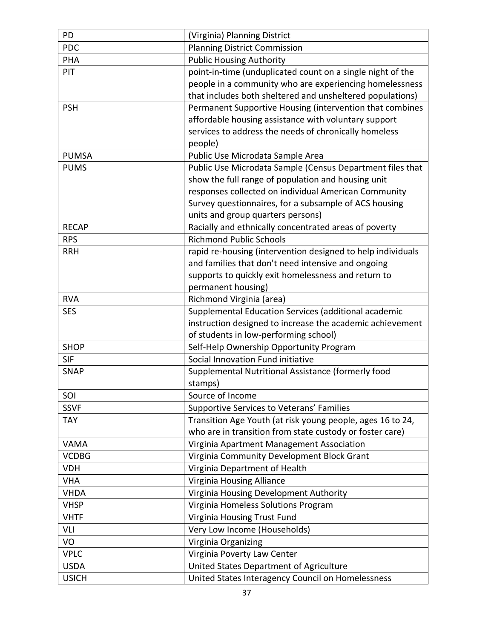| PD                          | (Virginia) Planning District                                                                 |
|-----------------------------|----------------------------------------------------------------------------------------------|
| <b>PDC</b>                  | <b>Planning District Commission</b>                                                          |
| <b>PHA</b>                  | <b>Public Housing Authority</b>                                                              |
| PIT                         | point-in-time (unduplicated count on a single night of the                                   |
|                             | people in a community who are experiencing homelessness                                      |
|                             | that includes both sheltered and unsheltered populations)                                    |
| <b>PSH</b>                  | Permanent Supportive Housing (intervention that combines                                     |
|                             | affordable housing assistance with voluntary support                                         |
|                             | services to address the needs of chronically homeless                                        |
|                             | people)                                                                                      |
| <b>PUMSA</b>                | Public Use Microdata Sample Area                                                             |
| <b>PUMS</b>                 | Public Use Microdata Sample (Census Department files that                                    |
|                             | show the full range of population and housing unit                                           |
|                             | responses collected on individual American Community                                         |
|                             | Survey questionnaires, for a subsample of ACS housing                                        |
|                             | units and group quarters persons)                                                            |
| <b>RECAP</b>                | Racially and ethnically concentrated areas of poverty                                        |
| <b>RPS</b>                  | <b>Richmond Public Schools</b>                                                               |
| <b>RRH</b>                  | rapid re-housing (intervention designed to help individuals                                  |
|                             | and families that don't need intensive and ongoing                                           |
|                             | supports to quickly exit homelessness and return to                                          |
|                             | permanent housing)                                                                           |
| <b>RVA</b>                  | Richmond Virginia (area)                                                                     |
|                             | Supplemental Education Services (additional academic                                         |
| <b>SES</b>                  |                                                                                              |
|                             | instruction designed to increase the academic achievement                                    |
|                             | of students in low-performing school)                                                        |
| <b>SHOP</b>                 | Self-Help Ownership Opportunity Program                                                      |
| <b>SIF</b>                  | Social Innovation Fund initiative                                                            |
| <b>SNAP</b>                 | Supplemental Nutritional Assistance (formerly food                                           |
|                             | stamps)                                                                                      |
| SOI                         | Source of Income                                                                             |
| <b>SSVF</b>                 | Supportive Services to Veterans' Families                                                    |
| <b>TAY</b>                  | Transition Age Youth (at risk young people, ages 16 to 24,                                   |
|                             | who are in transition from state custody or foster care)                                     |
| <b>VAMA</b>                 | Virginia Apartment Management Association                                                    |
| <b>VCDBG</b>                | Virginia Community Development Block Grant                                                   |
| <b>VDH</b>                  | Virginia Department of Health                                                                |
| <b>VHA</b>                  | Virginia Housing Alliance                                                                    |
| <b>VHDA</b>                 | Virginia Housing Development Authority                                                       |
| <b>VHSP</b>                 | Virginia Homeless Solutions Program                                                          |
| <b>VHTF</b>                 | Virginia Housing Trust Fund                                                                  |
| VLI                         | Very Low Income (Households)                                                                 |
| VO                          | Virginia Organizing                                                                          |
| <b>VPLC</b>                 | Virginia Poverty Law Center                                                                  |
| <b>USDA</b><br><b>USICH</b> | United States Department of Agriculture<br>United States Interagency Council on Homelessness |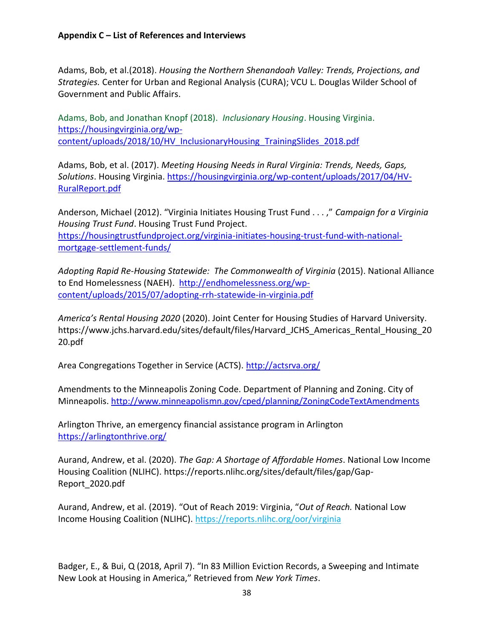Adams, Bob, et al.(2018). *Housing the Northern Shenandoah Valley: Trends, Projections, and Strategies.* Center for Urban and Regional Analysis (CURA); VCU L. Douglas Wilder School of Government and Public Affairs.

Adams, Bob, and Jonathan Knopf (2018). *Inclusionary Housing*. Housing Virginia. [https://housingvirginia.org/wp](https://housingvirginia.org/wp-content/uploads/2018/10/HV_InclusionaryHousing_TrainingSlides_2018.pdf)content/uploads/2018/10/HV\_InclusionaryHousing\_TrainingSlides\_2018.pdf

Adams, Bob, et al. (2017). *Meeting Housing Needs in Rural Virginia: Trends, Needs, Gaps, Solutions*. Housing Virginia. [https://housingvirginia.org/wp-content/uploads/2017/04/HV-](https://housingvirginia.org/wp-content/uploads/2017/04/HV-RuralReport.pdf)[RuralReport.pdf](https://housingvirginia.org/wp-content/uploads/2017/04/HV-RuralReport.pdf)

Anderson, Michael (2012). "Virginia Initiates Housing Trust Fund . . . ," *Campaign for a Virginia Housing Trust Fund*. Housing Trust Fund Project. [https://housingtrustfundproject.org/virginia-initiates-housing-trust-fund-with-national](about:blank)[mortgage-settlement-funds/](about:blank)

*Adopting Rapid Re-Housing Statewide: The Commonwealth of Virginia* (2015). National Alliance to End Homelessness (NAEH). [http://endhomelessness.org/wp](http://endhomelessness.org/wp-content/uploads/2015/07/adopting-rrh-statewide-in-virginia.pdf)[content/uploads/2015/07/adopting-rrh-statewide-in-virginia.pdf](http://endhomelessness.org/wp-content/uploads/2015/07/adopting-rrh-statewide-in-virginia.pdf)

*America's Rental Housing 2020* (2020). Joint Center for Housing Studies of Harvard University. https://www.jchs.harvard.edu/sites/default/files/Harvard JCHS Americas Rental Housing 20 [20.pdf](https://www.jchs.harvard.edu/sites/default/files/Harvard_JCHS_Americas_Rental_Housing_2020.pdf)

Area Congregations Together in Service (ACTS)[. http://actsrva.org/](about:blank)

Amendments to the Minneapolis Zoning Code. Department of Planning and Zoning. City of Minneapolis. <http://www.minneapolismn.gov/cped/planning/ZoningCodeTextAmendments>

Arlington Thrive, an emergency financial assistance program in Arlington <https://arlingtonthrive.org/>

Aurand, Andrew, et al. (2020). *The Gap: A Shortage of Affordable Homes*. National Low Income Housing Coalition (NLIHC). [https://reports.nlihc.org/sites/default/files/gap/Gap-](https://reports.nlihc.org/sites/default/files/gap/Gap-Report_2020.pdf)[Report\\_2020.pdf](https://reports.nlihc.org/sites/default/files/gap/Gap-Report_2020.pdf)

Aurand, Andrew, et al. (2019). "Out of Reach 2019: Virginia, "*Out of Reach.* National Low Income Housing Coalition (NLIHC).<https://reports.nlihc.org/oor/virginia>

Badger, E., & Bui, Q (2018, April 7). "In 83 Million Eviction Records, a Sweeping and Intimate New Look at Housing in America," Retrieved from *New York Times*.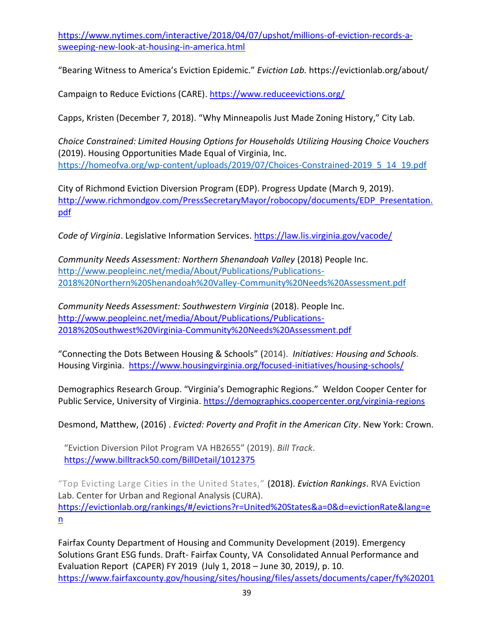[https://www.nytimes.com/interactive/2018/04/07/upshot/millions-of-eviction-records-a](https://www.nytimes.com/interactive/2018/04/07/upshot/millions-of-eviction-records-a-sweeping-new-look-at-housing-in-america.html)[sweeping-new-look-at-housing-in-america.html](https://www.nytimes.com/interactive/2018/04/07/upshot/millions-of-eviction-records-a-sweeping-new-look-at-housing-in-america.html)

"Bearing Witness to America's Eviction Epidemic." *Eviction Lab.* https://evictionlab.org/about/

Campaign to Reduce Evictions (CARE). [https://www.reduceevictions.org/](about:blank)

Capps, Kristen (December 7, 2018). "Why Minneapolis Just Made Zoning History," City Lab.

*Choice Constrained: Limited Housing Options for Households Utilizing Housing Choice Vouchers*  (2019). Housing Opportunities Made Equal of Virginia, Inc. [https://homeofva.org/wp-content/uploads/2019/07/Choices-Constrained-2019\\_5\\_14\\_19.pdf](about:blank)

City of Richmond Eviction Diversion Program (EDP). Progress Update (March 9, 2019). [http://www.richmondgov.com/PressSecretaryMayor/robocopy/documents/EDP\\_Presentation.](http://www.richmondgov.com/PressSecretaryMayor/robocopy/documents/EDP_Presentation.pdf) [pdf](http://www.richmondgov.com/PressSecretaryMayor/robocopy/documents/EDP_Presentation.pdf)

*Code of Virginia*. Legislative Information Services.<https://law.lis.virginia.gov/vacode/>

*Community Needs Assessment: Northern Shenandoah Valley* (2018) People Inc. [http://www.peopleinc.net/media/About/Publications/Publications-](about:blank)[2018%20Northern%20Shenandoah%20Valley-Community%20Needs%20Assessment.pdf](about:blank)

*Community Needs Assessment: Southwestern Virginia* (2018). People Inc. [http://www.peopleinc.net/media/About/Publications/Publications-](about:blank)[2018%20Southwest%20Virginia-Community%20Needs%20Assessment.pdf](about:blank)

"Connecting the Dots Between Housing & Schools" (2014). *Initiatives: Housing and Schools.* Housing Virginia. <https://www.housingvirginia.org/focused-initiatives/housing-schools/>

Demographics Research Group. "Virginia's Demographic Regions." Weldon Cooper Center for Public Service, University of Virginia. <https://demographics.coopercenter.org/virginia-regions>

Desmond, Matthew, (2016) . *[Evicted: Poverty and Profit in the American City](https://scholar.harvard.edu/mdesmond/publications/evicted-poverty-and-profit-american-city)*. New York: Crown.

"Eviction Diversion Pilot Program VA HB2655" (2019). *Bill Track*. <https://www.billtrack50.com/BillDetail/1012375>

"Top Evicting Large Cities in the United States," (2018). *Eviction Rankings*. RVA Eviction Lab. Center for Urban and Regional Analysis (CURA). [https://evictionlab.org/rankings/#/evictions?r=United%20States&a=0&d=evictionRate&lang=e](https://evictionlab.org/rankings/#/evictions?r=United%20States&a=0&d=evictionRate&lang=en) [n](https://evictionlab.org/rankings/#/evictions?r=United%20States&a=0&d=evictionRate&lang=en)

Fairfax County Department of Housing and Community Development (2019). Emergency Solutions Grant ESG funds. Draft- Fairfax County, VA Consolidated Annual Performance and Evaluation Report (CAPER) FY 2019 (July 1, 2018 – June 30, 2019*)*, p. 10. [https://www.fairfaxcounty.gov/housing/sites/housing/files/assets/documents/caper/fy%20201](https://www.fairfaxcounty.gov/housing/sites/housing/files/assets/documents/caper/fy%202019/draft_fy2019_consolidated_annual_performance_and_evaluation_report.pdf)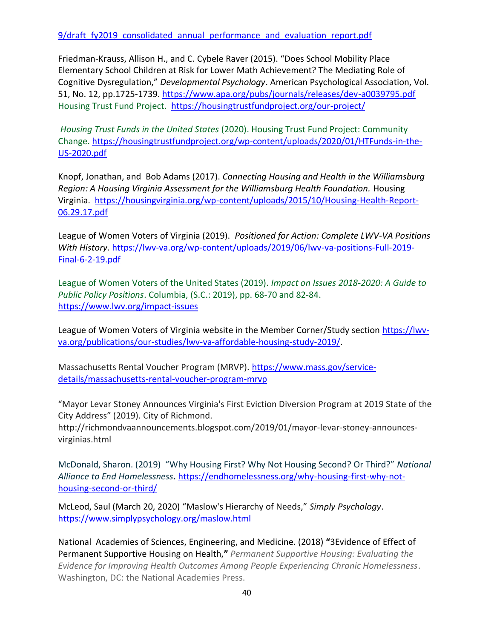9/draft fy2019 consolidated annual performance and evaluation report.pdf

Friedman-Krauss, Allison H., and C. Cybele Raver (2015). "Does School Mobility Place Elementary School Children at Risk for Lower Math Achievement? The Mediating Role of Cognitive Dysregulation," *Developmental Psychology*. American Psychological Association, Vol. 51, No. 12, pp.1725-1739.<https://www.apa.org/pubs/journals/releases/dev-a0039795.pdf> Housing Trust Fund Project. <https://housingtrustfundproject.org/our-project/>

*Housing Trust Funds in the United States* (2020). Housing Trust Fund Project: Community Change. [https://housingtrustfundproject.org/wp-content/uploads/2020/01/HTFunds-in-the-](about:blank)[US-2020.pdf](about:blank)

Knopf, Jonathan, and Bob Adams (2017). *Connecting Housing and Health in the Williamsburg Region: A Housing Virginia Assessment for the Williamsburg Health Foundation.* Housing Virginia. [https://housingvirginia.org/wp-content/uploads/2015/10/Housing-Health-Report-](about:blank)[06.29.17.pdf](about:blank)

League of Women Voters of Virginia (2019). *Positioned for Action: Complete LWV-VA Positions With History.* [https://lwv-va.org/wp-content/uploads/2019/06/lwv-va-positions-Full-2019-](about:blank) [Final-6-2-19.pdf](about:blank)

League of Women Voters of the United States (2019). *Impact on Issues 2018-2020: A Guide to Public Policy Positions*. Columbia, (S.C.: 2019), pp. 68-70 and 82-84. <https://www.lwv.org/impact-issues>

League of Women Voters of Virginia website in the Member Corner/Study sectio[n https://lwv](https://lwv-va.org/publications/our-studies/lwv-va-affordable-housing-study-2019/)[va.org/publications/our-studies/lwv-va-affordable-housing-study-2019/.](https://lwv-va.org/publications/our-studies/lwv-va-affordable-housing-study-2019/)

Massachusetts Rental Voucher Program (MRVP). [https://www.mass.gov/service](about:blank)[details/massachusetts-rental-voucher-program-mrvp](about:blank)

"Mayor Levar Stoney Announces Virginia's First Eviction Diversion Program at 2019 State of the City Address" (2019). City of Richmond.

http://richmondvaannouncements.blogspot.com/2019/01/mayor-levar-stoney-announcesvirginias.html

McDonald, Sharon. (2019) "Why Housing First? Why Not Housing Second? Or Third?" *National Alliance to End Homelessness.* [https://endhomelessness.org/why-housing-first-why-not](https://endhomelessness.org/why-housing-first-why-not-housing-second-or-third/)[housing-second-or-third/](https://endhomelessness.org/why-housing-first-why-not-housing-second-or-third/)

McLeod, [Saul \(March 20, 2020\)](https://www.simplypsychology.org/saul-mcleod.html) "Maslow's Hierarchy of Needs," *Simply Psychology*. [https://www.simplypsychology.org/maslow.html](about:blank)

National Academies of Sciences, Engineering, and Medicine. (2018) **"**3Evidence of Effect of Permanent Supportive Housing on Health,**"** *Permanent Supportive Housing: Evaluating the Evidence for Improving Health Outcomes Among People Experiencing Chronic Homelessness*. Washington, DC: the National Academies Press.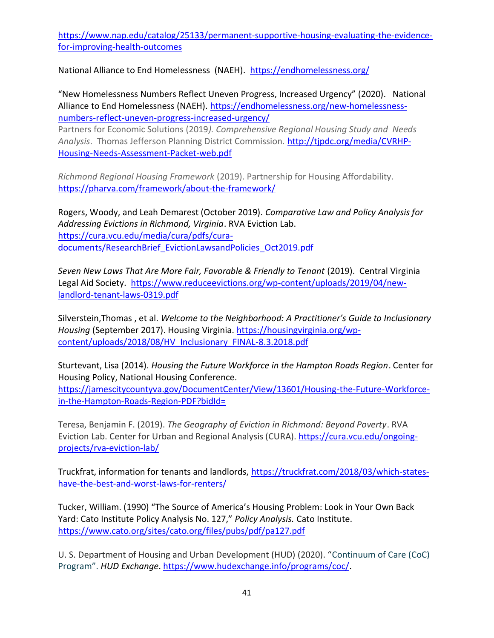[https://www.nap.edu/catalog/25133/permanent-supportive-housing-evaluating-the-evidence](https://www.nap.edu/catalog/25133/permanent-supportive-housing-evaluating-the-evidence-for-improving-health-outcomes)[for-improving-health-outcomes](https://www.nap.edu/catalog/25133/permanent-supportive-housing-evaluating-the-evidence-for-improving-health-outcomes)

National Alliance to End Homelessness (NAEH). [https://endhomelessness.org/](about:blank)

"New Homelessness Numbers Reflect Uneven Progress, Increased Urgency" (2020). National Alliance to End Homelessness (NAEH). https://endhomelessness.org/new-homelessnessnumbers-reflect-uneven-progress-increased-urgency/

Partners for Economic Solutions (2019*). Comprehensive Regional Housing Study and Needs Analysis*. Thomas Jefferson Planning District Commission. [http://tjpdc.org/media/CVRHP-](http://tjpdc.org/media/CVRHP-Housing-Needs-Assessment-Packet-web.pdf)[Housing-Needs-Assessment-Packet-web.pdf](http://tjpdc.org/media/CVRHP-Housing-Needs-Assessment-Packet-web.pdf)

*Richmond Regional Housing Framework* (2019). Partnership for Housing Affordability. [https://pharva.com/framework/about-the-framework/](about:blank)

Rogers, Woody, and Leah Demarest (October 2019). *Comparative Law and Policy Analysis for Addressing Evictions in Richmond, Virginia*. RVA Eviction Lab. [https://cura.vcu.edu/media/cura/pdfs/cura](https://cura.vcu.edu/media/cura/pdfs/cura-documents/ResearchBrief_EvictionLawsandPolicies_Oct2019.pdf)[documents/ResearchBrief\\_EvictionLawsandPolicies\\_Oct2019.pdf](https://cura.vcu.edu/media/cura/pdfs/cura-documents/ResearchBrief_EvictionLawsandPolicies_Oct2019.pdf)

*Seven New Laws That Are More Fair, Favorable & Friendly to Tenant* (2019). Central Virginia Legal Aid Society. [https://www.reduceevictions.org/wp-content/uploads/2019/04/new](https://www.reduceevictions.org/wp-content/uploads/2019/04/new-landlord-tenant-laws-0319.pdf)[landlord-tenant-laws-0319.pdf](https://www.reduceevictions.org/wp-content/uploads/2019/04/new-landlord-tenant-laws-0319.pdf)

Silverstein,Thomas , et al. *Welcome to the Neighborhood: A Practitioner's Guide to Inclusionary Housing* (September 2017). Housing Virginia. [https://housingvirginia.org/wp](https://housingvirginia.org/wp-content/uploads/2018/08/HV_Inclusionary_FINAL-8.3.2018.pdf)[content/uploads/2018/08/HV\\_Inclusionary\\_FINAL-8.3.2018.pdf](https://housingvirginia.org/wp-content/uploads/2018/08/HV_Inclusionary_FINAL-8.3.2018.pdf)

Sturtevant, Lisa (2014). *Housing the Future Workforce in the Hampton Roads Region*. Center for Housing Policy, National Housing Conference. [https://jamescitycountyva.gov/DocumentCenter/View/13601/Housing-the-Future-Workforce](about:blank)[in-the-Hampton-Roads-Region-PDF?bidId=](about:blank)

Teresa, Benjamin F. (2019). *The Geography of Eviction in Richmond: Beyond Poverty*. RVA Eviction Lab. Center for Urban and Regional Analysis (CURA). https://cura.vcu.edu/ongoingprojects/rva-eviction-lab/

Truckfrat, information for tenants and landlords, [https://truckfrat.com/2018/03/which-states](https://truckfrat.com/2018/03/which-states-have-the-best-and-worst-laws-for-renters/)[have-the-best-and-worst-laws-for-renters/](https://truckfrat.com/2018/03/which-states-have-the-best-and-worst-laws-for-renters/)

Tucker, William. (1990) "The Source of America's Housing Problem: Look in Your Own Back Yard: Cato Institute Policy Analysis No. 127," *Policy Analysis.* Cato Institute. <https://www.cato.org/sites/cato.org/files/pubs/pdf/pa127.pdf>

U. S. Department of Housing and Urban Development (HUD) (2020). "Continuum of Care (CoC) Program". *HUD Exchange*. https://www.hudexchange.info/programs/coc/.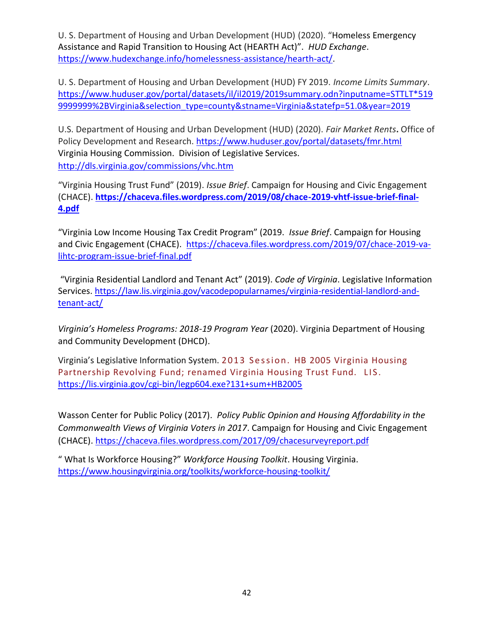U. S. Department of Housing and Urban Development (HUD) (2020). "Homeless Emergency Assistance and Rapid Transition to Housing Act (HEARTH Act)". *HUD Exchange*. https://www.hudexchange.info/homelessness-assistance/hearth-act/.

U. S. Department of Housing and Urban Development (HUD) FY 2019. *Income Limits Summary*. [https://www.huduser.gov/portal/datasets/il/il2019/2019summary.odn?inputname=STTLT\\*519](https://www.huduser.gov/portal/datasets/il/il2019/2019summary.odn?inputname=STTLT*5199999999%2BVirginia&selection_type=county&stname=Virginia&statefp=51.0&year=2019) [9999999%2BVirginia&selection\\_type=county&stname=Virginia&statefp=51.0&year=2019](https://www.huduser.gov/portal/datasets/il/il2019/2019summary.odn?inputname=STTLT*5199999999%2BVirginia&selection_type=county&stname=Virginia&statefp=51.0&year=2019)

U.S. Department of Housing and Urban Development (HUD) (2020). *Fair Market Rents***.** Office of Policy Development and Research. <https://www.huduser.gov/portal/datasets/fmr.html> Virginia Housing Commission. Division of Legislative Services. <http://dls.virginia.gov/commissions/vhc.htm>

"Virginia Housing Trust Fund" (2019). *Issue Brief*. Campaign for Housing and Civic Engagement (CHACE). **[https://chaceva.files.wordpress.com/2019/08/chace-2019-vhtf-issue-brief-final-](about:blank)[4.pdf](about:blank)**

"Virginia Low Income Housing Tax Credit Program" (2019. *Issue Brief*. Campaign for Housing and Civic Engagement (CHACE). [https://chaceva.files.wordpress.com/2019/07/chace-2019-va](https://chaceva.files.wordpress.com/2019/07/chace-2019-va-lihtc-program-issue-brief-final.pdf)[lihtc-program-issue-brief-final.pdf](https://chaceva.files.wordpress.com/2019/07/chace-2019-va-lihtc-program-issue-brief-final.pdf)

"Virginia Residential Landlord and Tenant Act" (2019). *Code of Virginia*. Legislative Information Services. [https://law.lis.virginia.gov/vacodepopularnames/virginia-residential-landlord-and](about:blank)[tenant-act/](about:blank)

*Virginia's Homeless Programs: 2018-19 Program Year* (2020). Virginia Department of Housing and Community Development (DHCD).

Virginia's Legislative Information System. 2013 Session. HB 2005 Virginia Housing Partnership Revolving Fund; renamed Virginia Housing Trust Fund. LIS. [https://lis.virginia.gov/cgi-bin/legp604.exe?131+sum+HB2005](about:blank)

Wasson Center for Public Policy (2017). *Policy Public Opinion and Housing Affordability in the Commonwealth Views of Virginia Voters in 2017*. Campaign for Housing and Civic Engagement (CHACE).<https://chaceva.files.wordpress.com/2017/09/chacesurveyreport.pdf>

" What Is Workforce Housing?" *Workforce Housing Toolkit*. Housing Virginia. [https://www.housingvirginia.org/toolkits/workforce-housing-toolkit/](about:blank)